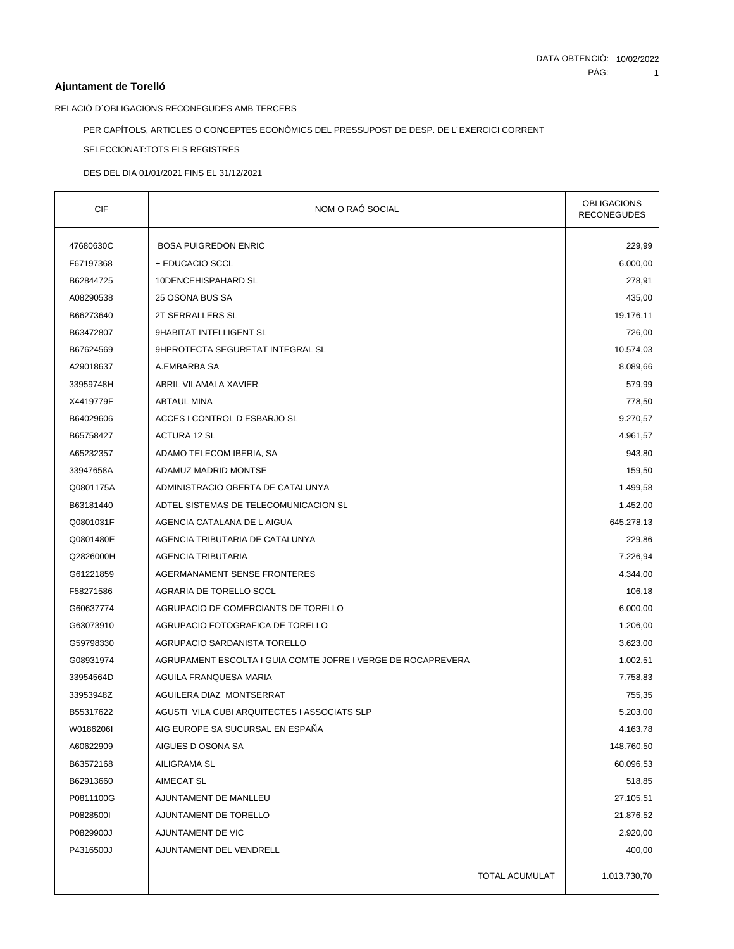## **Ajuntament de Torelló**

RELACIÓ D´OBLIGACIONS RECONEGUDES AMB TERCERS

PER CAPÍTOLS, ARTICLES O CONCEPTES ECONÒMICS DEL PRESSUPOST DE DESP. DE L´EXERCICI CORRENT

SELECCIONAT:TOTS ELS REGISTRES

DES DEL DIA 01/01/2021 FINS EL 31/12/2021

| <b>CIF</b> | NOM O RAÓ SOCIAL                                             | <b>OBLIGACIONS</b><br>RECONEGUDES |
|------------|--------------------------------------------------------------|-----------------------------------|
| 47680630C  | <b>BOSA PUIGREDON ENRIC</b>                                  | 229,99                            |
| F67197368  | + EDUCACIO SCCL                                              | 6.000,00                          |
| B62844725  | 10DENCEHISPAHARD SL                                          | 278,91                            |
| A08290538  | 25 OSONA BUS SA                                              | 435,00                            |
| B66273640  | 2T SERRALLERS SL                                             | 19.176,11                         |
| B63472807  | 9HABITAT INTELLIGENT SL                                      | 726,00                            |
| B67624569  | 9HPROTECTA SEGURETAT INTEGRAL SL                             | 10.574,03                         |
| A29018637  | A.EMBARBA SA                                                 | 8.089,66                          |
| 33959748H  | ABRIL VILAMALA XAVIER                                        | 579,99                            |
| X4419779F  | <b>ABTAUL MINA</b>                                           | 778,50                            |
| B64029606  | ACCES I CONTROL D ESBARJO SL                                 | 9.270,57                          |
| B65758427  | ACTURA 12 SL                                                 | 4.961,57                          |
| A65232357  | ADAMO TELECOM IBERIA, SA                                     | 943,80                            |
| 33947658A  | ADAMUZ MADRID MONTSE                                         | 159,50                            |
| Q0801175A  | ADMINISTRACIO OBERTA DE CATALUNYA                            | 1.499,58                          |
| B63181440  | ADTEL SISTEMAS DE TELECOMUNICACION SL                        | 1.452,00                          |
| Q0801031F  | AGENCIA CATALANA DE L AIGUA                                  | 645.278,13                        |
| Q0801480E  | AGENCIA TRIBUTARIA DE CATALUNYA                              | 229,86                            |
| Q2826000H  | AGENCIA TRIBUTARIA                                           | 7.226,94                          |
| G61221859  | AGERMANAMENT SENSE FRONTERES                                 | 4.344,00                          |
| F58271586  | AGRARIA DE TORELLO SCCL                                      | 106,18                            |
| G60637774  | AGRUPACIO DE COMERCIANTS DE TORELLO                          | 6.000,00                          |
| G63073910  | AGRUPACIO FOTOGRAFICA DE TORELLO                             | 1.206,00                          |
| G59798330  | AGRUPACIO SARDANISTA TORELLO                                 | 3.623,00                          |
| G08931974  | AGRUPAMENT ESCOLTA I GUIA COMTE JOFRE I VERGE DE ROCAPREVERA | 1.002,51                          |
| 33954564D  | AGUILA FRANQUESA MARIA                                       | 7.758,83                          |
| 33953948Z  | AGUILERA DIAZ MONTSERRAT                                     | 755,35                            |
| B55317622  | AGUSTI VILA CUBI ARQUITECTES I ASSOCIATS SLP                 | 5.203,00                          |
| W0186206I  | AIG EUROPE SA SUCURSAL EN ESPAÑA                             | 4.163,78                          |
| A60622909  | AIGUES D OSONA SA                                            | 148.760,50                        |
| B63572168  | AILIGRAMA SL                                                 | 60.096,53                         |
| B62913660  | AIMECAT SL                                                   | 518,85                            |
| P0811100G  | AJUNTAMENT DE MANLLEU                                        | 27.105,51                         |
| P0828500I  | AJUNTAMENT DE TORELLO                                        | 21.876,52                         |
| P0829900J  | AJUNTAMENT DE VIC                                            | 2.920,00                          |
| P4316500J  | AJUNTAMENT DEL VENDRELL                                      | 400,00                            |
|            | <b>TOTAL ACUMULAT</b>                                        | 1.013.730,70                      |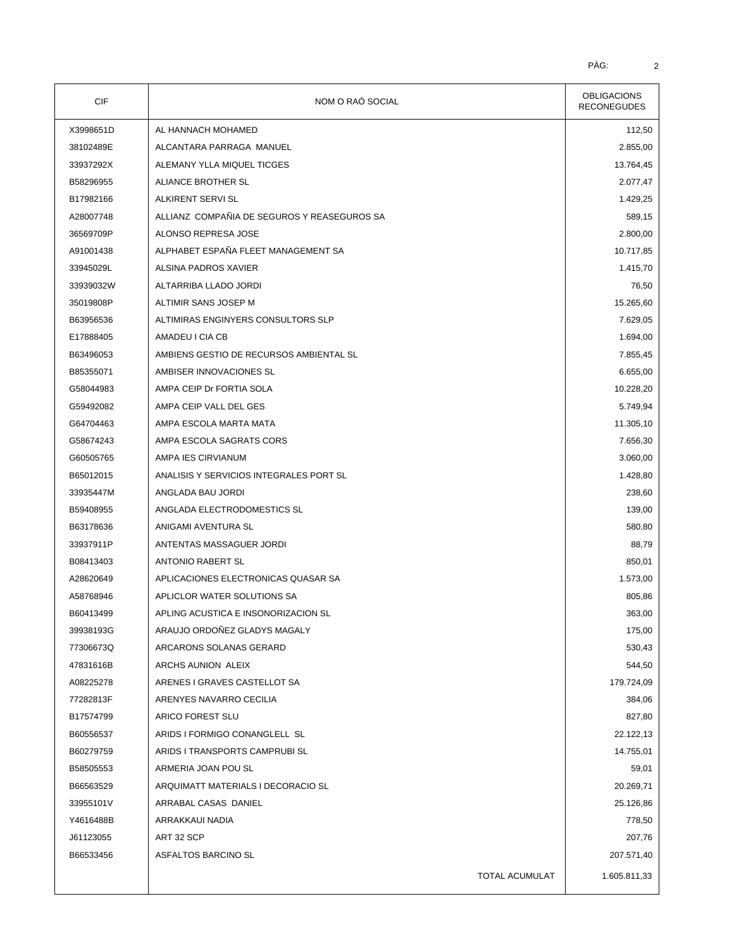| CIF       | NOM O RAÓ SOCIAL                            | <b>OBLIGACIONS</b><br><b>RECONEGUDES</b> |
|-----------|---------------------------------------------|------------------------------------------|
| X3998651D | AL HANNACH MOHAMED                          | 112,50                                   |
| 38102489E | ALCANTARA PARRAGA MANUEL                    | 2.855,00                                 |
| 33937292X | ALEMANY YLLA MIQUEL TICGES                  | 13.764,45                                |
| B58296955 | ALIANCE BROTHER SL                          | 2.077,47                                 |
| B17982166 | ALKIRENT SERVI SL                           | 1.429,25                                 |
| A28007748 | ALLIANZ COMPAÑIA DE SEGUROS Y REASEGUROS SA | 589,15                                   |
| 36569709P | ALONSO REPRESA JOSE                         | 2.800,00                                 |
| A91001438 | ALPHABET ESPAÑA FLEET MANAGEMENT SA         | 10.717,85                                |
| 33945029L | ALSINA PADROS XAVIER                        | 1.415,70                                 |
| 33939032W | ALTARRIBA LLADO JORDI                       | 76,50                                    |
| 35019808P | ALTIMIR SANS JOSEP M                        | 15.265,60                                |
| B63956536 | ALTIMIRAS ENGINYERS CONSULTORS SLP          | 7.629,05                                 |
| E17888405 | AMADEU I CIA CB                             | 1.694,00                                 |
| B63496053 | AMBIENS GESTIO DE RECURSOS AMBIENTAL SL     | 7.855,45                                 |
| B85355071 | AMBISER INNOVACIONES SL                     | 6.655,00                                 |
| G58044983 | AMPA CEIP Dr FORTIA SOLA                    | 10.228,20                                |
| G59492082 | AMPA CEIP VALL DEL GES                      | 5.749,94                                 |
| G64704463 | AMPA ESCOLA MARTA MATA                      | 11.305,10                                |
| G58674243 | AMPA ESCOLA SAGRATS CORS                    | 7.656,30                                 |
| G60505765 | AMPA IES CIRVIANUM                          | 3.060,00                                 |
| B65012015 | ANALISIS Y SERVICIOS INTEGRALES PORT SL     | 1.428,80                                 |
| 33935447M | ANGLADA BAU JORDI                           | 238,60                                   |
| B59408955 | ANGLADA ELECTRODOMESTICS SL                 | 139,00                                   |
| B63178636 | ANIGAMI AVENTURA SL                         | 580,80                                   |
| 33937911P | ANTENTAS MASSAGUER JORDI                    | 88,79                                    |
| B08413403 | <b>ANTONIO RABERT SL</b>                    | 850,01                                   |
| A28620649 | APLICACIONES ELECTRONICAS QUASAR SA         | 1.573,00                                 |
| A58768946 | APLICLOR WATER SOLUTIONS SA                 | 805,86                                   |
| B60413499 | APLING ACUSTICA E INSONORIZACION SL         | 363,00                                   |
| 39938193G | ARAUJO ORDOÑEZ GLADYS MAGALY                | 175,00                                   |
| 77306673Q | ARCARONS SOLANAS GERARD                     | 530,43                                   |
| 47831616B | ARCHS AUNION ALEIX                          | 544,50                                   |
| A08225278 | ARENES I GRAVES CASTELLOT SA                | 179.724,09                               |
| 77282813F | ARENYES NAVARRO CECILIA                     | 384,06                                   |
| B17574799 | ARICO FOREST SLU                            | 827,80                                   |
| B60556537 | ARIDS I FORMIGO CONANGLELL SL               | 22.122,13                                |
| B60279759 | ARIDS I TRANSPORTS CAMPRUBI SL              | 14.755,01                                |
| B58505553 | ARMERIA JOAN POU SL                         | 59,01                                    |
| B66563529 | ARQUIMATT MATERIALS I DECORACIO SL          | 20.269,71                                |
| 33955101V | ARRABAL CASAS DANIEL                        | 25.126,86                                |
| Y4616488B | ARRAKKAUI NADIA                             | 778,50                                   |
| J61123055 | ART 32 SCP                                  | 207,76                                   |
| B66533456 | ASFALTOS BARCINO SL                         | 207.571,40                               |
|           | <b>TOTAL ACUMULAT</b>                       | 1.605.811,33                             |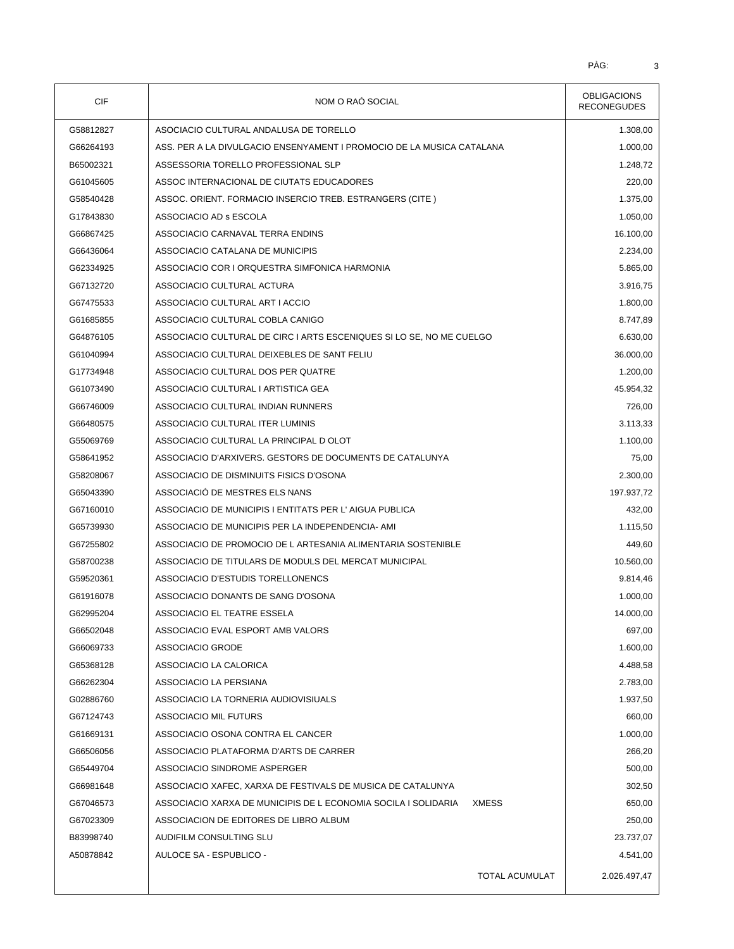| <b>CIF</b> | NOM O RAO SOCIAL                                                        | <b>OBLIGACIONS</b><br><b>RECONEGUDES</b> |  |
|------------|-------------------------------------------------------------------------|------------------------------------------|--|
| G58812827  | ASOCIACIO CULTURAL ANDALUSA DE TORELLO                                  | 1.308,00                                 |  |
| G66264193  | ASS. PER A LA DIVULGACIO ENSENYAMENT I PROMOCIO DE LA MUSICA CATALANA   | 1.000,00                                 |  |
| B65002321  | ASSESSORIA TORELLO PROFESSIONAL SLP                                     | 1.248,72                                 |  |
| G61045605  | ASSOC INTERNACIONAL DE CIUTATS EDUCADORES                               | 220,00                                   |  |
| G58540428  | ASSOC. ORIENT. FORMACIO INSERCIO TREB. ESTRANGERS (CITE)                | 1.375,00                                 |  |
| G17843830  | ASSOCIACIO AD s ESCOLA                                                  | 1.050,00                                 |  |
| G66867425  | ASSOCIACIO CARNAVAL TERRA ENDINS                                        | 16.100,00                                |  |
| G66436064  | ASSOCIACIO CATALANA DE MUNICIPIS                                        | 2.234,00                                 |  |
| G62334925  | ASSOCIACIO COR I ORQUESTRA SIMFONICA HARMONIA                           | 5.865,00                                 |  |
| G67132720  | ASSOCIACIO CULTURAL ACTURA                                              | 3.916,75                                 |  |
| G67475533  | ASSOCIACIO CULTURAL ART I ACCIO                                         | 1.800,00                                 |  |
| G61685855  | ASSOCIACIO CULTURAL COBLA CANIGO                                        | 8.747,89                                 |  |
| G64876105  | ASSOCIACIO CULTURAL DE CIRC I ARTS ESCENIQUES SI LO SE, NO ME CUELGO    | 6.630,00                                 |  |
| G61040994  | ASSOCIACIO CULTURAL DEIXEBLES DE SANT FELIU                             | 36.000,00                                |  |
| G17734948  | ASSOCIACIO CULTURAL DOS PER QUATRE                                      | 1.200,00                                 |  |
| G61073490  | ASSOCIACIO CULTURAL I ARTISTICA GEA                                     | 45.954,32                                |  |
| G66746009  | ASSOCIACIO CULTURAL INDIAN RUNNERS                                      | 726,00                                   |  |
| G66480575  | ASSOCIACIO CULTURAL ITER LUMINIS                                        | 3.113,33                                 |  |
| G55069769  | ASSOCIACIO CULTURAL LA PRINCIPAL D OLOT                                 | 1.100,00                                 |  |
| G58641952  | ASSOCIACIO D'ARXIVERS. GESTORS DE DOCUMENTS DE CATALUNYA                | 75,00                                    |  |
| G58208067  | ASSOCIACIO DE DISMINUITS FISICS D'OSONA                                 | 2.300,00                                 |  |
| G65043390  | ASSOCIACIÓ DE MESTRES ELS NANS                                          | 197.937,72                               |  |
| G67160010  | ASSOCIACIO DE MUNICIPIS I ENTITATS PER L'AIGUA PUBLICA                  | 432,00                                   |  |
| G65739930  | ASSOCIACIO DE MUNICIPIS PER LA INDEPENDENCIA-AMI                        | 1.115,50                                 |  |
| G67255802  | ASSOCIACIO DE PROMOCIO DE L ARTESANIA ALIMENTARIA SOSTENIBLE            | 449,60                                   |  |
| G58700238  | ASSOCIACIO DE TITULARS DE MODULS DEL MERCAT MUNICIPAL                   | 10.560,00                                |  |
| G59520361  | ASSOCIACIO D'ESTUDIS TORELLONENCS                                       | 9.814,46                                 |  |
| G61916078  | ASSOCIACIO DONANTS DE SANG D'OSONA                                      | 1.000,00                                 |  |
| G62995204  | ASSOCIACIO EL TEATRE ESSELA                                             | 14.000,00                                |  |
| G66502048  | ASSOCIACIO EVAL ESPORT AMB VALORS                                       | 697,00                                   |  |
| G66069733  | ASSOCIACIO GRODE                                                        | 1.600,00                                 |  |
| G65368128  | ASSOCIACIO LA CALORICA                                                  | 4.488,58                                 |  |
| G66262304  | ASSOCIACIO LA PERSIANA                                                  | 2.783,00                                 |  |
| G02886760  | ASSOCIACIO LA TORNERIA AUDIOVISIUALS                                    | 1.937,50                                 |  |
| G67124743  | ASSOCIACIO MIL FUTURS                                                   | 660,00                                   |  |
| G61669131  | ASSOCIACIO OSONA CONTRA EL CANCER                                       | 1.000,00                                 |  |
| G66506056  | ASSOCIACIO PLATAFORMA D'ARTS DE CARRER                                  | 266,20                                   |  |
| G65449704  | ASSOCIACIO SINDROME ASPERGER                                            | 500,00                                   |  |
| G66981648  | ASSOCIACIO XAFEC, XARXA DE FESTIVALS DE MUSICA DE CATALUNYA             | 302,50                                   |  |
| G67046573  | ASSOCIACIO XARXA DE MUNICIPIS DE L ECONOMIA SOCILA I SOLIDARIA<br>XMESS | 650,00                                   |  |
| G67023309  | ASSOCIACION DE EDITORES DE LIBRO ALBUM                                  | 250,00                                   |  |
| B83998740  | AUDIFILM CONSULTING SLU                                                 | 23.737,07                                |  |
| A50878842  | AULOCE SA - ESPUBLICO -                                                 | 4.541,00                                 |  |
|            |                                                                         |                                          |  |
|            | <b>TOTAL ACUMULAT</b>                                                   | 2.026.497,47                             |  |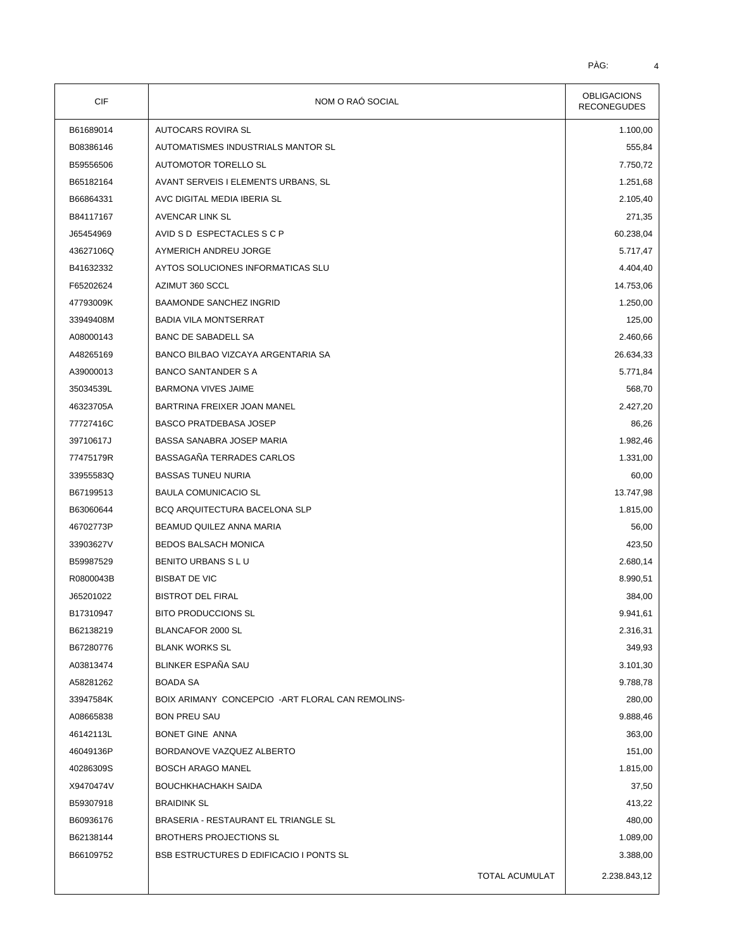| CIF       | NOM O RAÓ SOCIAL                                  | <b>OBLIGACIONS</b><br><b>RECONEGUDES</b> |
|-----------|---------------------------------------------------|------------------------------------------|
| B61689014 | AUTOCARS ROVIRA SL                                | 1.100,00                                 |
| B08386146 | AUTOMATISMES INDUSTRIALS MANTOR SL                | 555,84                                   |
| B59556506 | AUTOMOTOR TORELLO SL                              | 7.750,72                                 |
| B65182164 | AVANT SERVEIS I ELEMENTS URBANS, SL               | 1.251,68                                 |
| B66864331 | AVC DIGITAL MEDIA IBERIA SL                       | 2.105,40                                 |
| B84117167 | AVENCAR LINK SL                                   | 271,35                                   |
| J65454969 | AVID S D ESPECTACLES S C P                        | 60.238,04                                |
| 43627106Q | AYMERICH ANDREU JORGE                             | 5.717,47                                 |
| B41632332 | AYTOS SOLUCIONES INFORMATICAS SLU                 | 4.404,40                                 |
| F65202624 | AZIMUT 360 SCCL                                   | 14.753,06                                |
| 47793009K | <b>BAAMONDE SANCHEZ INGRID</b>                    | 1.250,00                                 |
| 33949408M | <b>BADIA VILA MONTSERRAT</b>                      | 125,00                                   |
| A08000143 | BANC DE SABADELL SA                               | 2.460,66                                 |
| A48265169 | BANCO BILBAO VIZCAYA ARGENTARIA SA                | 26.634,33                                |
| A39000013 | <b>BANCO SANTANDER S A</b>                        | 5.771,84                                 |
| 35034539L | <b>BARMONA VIVES JAIME</b>                        | 568,70                                   |
| 46323705A | BARTRINA FREIXER JOAN MANEL                       | 2.427,20                                 |
| 77727416C | <b>BASCO PRATDEBASA JOSEP</b>                     | 86,26                                    |
| 39710617J | BASSA SANABRA JOSEP MARIA                         | 1.982,46                                 |
| 77475179R | BASSAGAÑA TERRADES CARLOS                         | 1.331,00                                 |
| 33955583Q | <b>BASSAS TUNEU NURIA</b>                         | 60,00                                    |
| B67199513 | <b>BAULA COMUNICACIO SL</b>                       | 13.747,98                                |
| B63060644 | BCQ ARQUITECTURA BACELONA SLP                     | 1.815,00                                 |
| 46702773P | BEAMUD QUILEZ ANNA MARIA                          | 56,00                                    |
| 33903627V | <b>BEDOS BALSACH MONICA</b>                       | 423,50                                   |
| B59987529 | BENITO URBANS S L U                               | 2.680,14                                 |
| R0800043B | <b>BISBAT DE VIC</b>                              | 8.990,51                                 |
| J65201022 | <b>BISTROT DEL FIRAL</b>                          | 384,00                                   |
| B17310947 | <b>BITO PRODUCCIONS SL</b>                        | 9.941,61                                 |
| B62138219 | BLANCAFOR 2000 SL                                 | 2.316,31                                 |
| B67280776 | <b>BLANK WORKS SL</b>                             | 349,93                                   |
| A03813474 | BLINKER ESPAÑA SAU                                | 3.101,30                                 |
| A58281262 | <b>BOADA SA</b>                                   | 9.788,78                                 |
| 33947584K | BOIX ARIMANY CONCEPCIO - ART FLORAL CAN REMOLINS- | 280,00                                   |
| A08665838 | <b>BON PREU SAU</b>                               | 9.888,46                                 |
| 46142113L | BONET GINE ANNA                                   | 363,00                                   |
| 46049136P | BORDANOVE VAZQUEZ ALBERTO                         | 151,00                                   |
| 40286309S | <b>BOSCH ARAGO MANEL</b>                          | 1.815,00                                 |
| X9470474V | <b>BOUCHKHACHAKH SAIDA</b>                        | 37,50                                    |
| B59307918 | <b>BRAIDINK SL</b>                                | 413,22                                   |
| B60936176 | BRASERIA - RESTAURANT EL TRIANGLE SL              | 480,00                                   |
| B62138144 | BROTHERS PROJECTIONS SL                           | 1.089,00                                 |
| B66109752 | BSB ESTRUCTURES D EDIFICACIO I PONTS SL           | 3.388,00                                 |
|           | <b>TOTAL ACUMULAT</b>                             | 2.238.843,12                             |
|           |                                                   |                                          |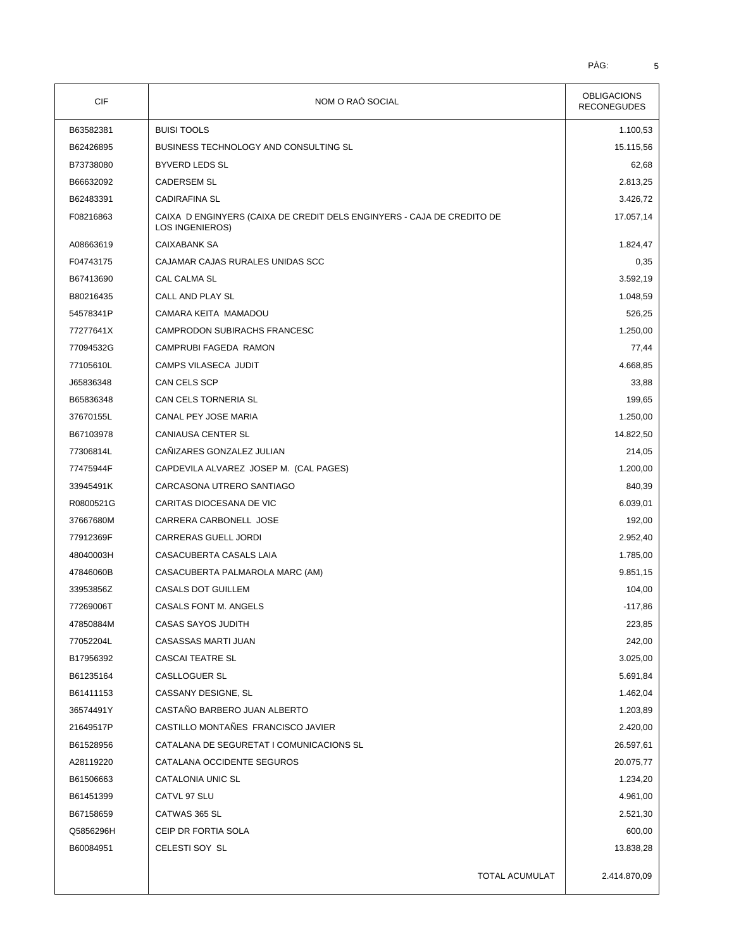| CIF       | NOM O RAÓ SOCIAL                                                                          | <b>OBLIGACIONS</b><br><b>RECONEGUDES</b> |
|-----------|-------------------------------------------------------------------------------------------|------------------------------------------|
| B63582381 | <b>BUISI TOOLS</b>                                                                        | 1.100,53                                 |
| B62426895 | <b>BUSINESS TECHNOLOGY AND CONSULTING SL</b>                                              | 15.115,56                                |
| B73738080 | <b>BYVERD LEDS SL</b>                                                                     | 62,68                                    |
| B66632092 | <b>CADERSEM SL</b>                                                                        | 2.813,25                                 |
| B62483391 | <b>CADIRAFINA SL</b>                                                                      | 3.426,72                                 |
| F08216863 | CAIXA D ENGINYERS (CAIXA DE CREDIT DELS ENGINYERS - CAJA DE CREDITO DE<br>LOS INGENIEROS) | 17.057,14                                |
| A08663619 | <b>CAIXABANK SA</b>                                                                       | 1.824,47                                 |
| F04743175 | CAJAMAR CAJAS RURALES UNIDAS SCC                                                          | 0,35                                     |
| B67413690 | CAL CALMA SL                                                                              | 3.592,19                                 |
| B80216435 | CALL AND PLAY SL                                                                          | 1.048,59                                 |
| 54578341P | CAMARA KEITA MAMADOU                                                                      | 526,25                                   |
| 77277641X | CAMPRODON SUBIRACHS FRANCESC                                                              | 1.250,00                                 |
| 77094532G | CAMPRUBI FAGEDA RAMON                                                                     | 77,44                                    |
| 77105610L | CAMPS VILASECA JUDIT                                                                      | 4.668,85                                 |
| J65836348 | CAN CELS SCP                                                                              | 33,88                                    |
| B65836348 | CAN CELS TORNERIA SL                                                                      | 199,65                                   |
| 37670155L | CANAL PEY JOSE MARIA                                                                      | 1.250,00                                 |
| B67103978 | <b>CANIAUSA CENTER SL</b>                                                                 | 14.822,50                                |
| 77306814L | CAÑIZARES GONZALEZ JULIAN                                                                 | 214,05                                   |
| 77475944F | CAPDEVILA ALVAREZ JOSEP M. (CAL PAGES)                                                    | 1.200,00                                 |
| 33945491K | CARCASONA UTRERO SANTIAGO                                                                 | 840,39                                   |
| R0800521G | CARITAS DIOCESANA DE VIC                                                                  | 6.039,01                                 |
| 37667680M | CARRERA CARBONELL JOSE                                                                    | 192,00                                   |
| 77912369F | CARRERAS GUELL JORDI                                                                      | 2.952,40                                 |
| 48040003H | CASACUBERTA CASALS LAIA                                                                   | 1.785,00                                 |
| 47846060B | CASACUBERTA PALMAROLA MARC (AM)                                                           | 9.851,15                                 |
| 33953856Z | <b>CASALS DOT GUILLEM</b>                                                                 | 104,00                                   |
| 77269006T | CASALS FONT M. ANGELS                                                                     | $-117,86$                                |
| 47850884M | CASAS SAYOS JUDITH                                                                        | 223,85                                   |
| 77052204L | CASASSAS MARTI JUAN                                                                       | 242,00                                   |
| B17956392 | <b>CASCAI TEATRE SL</b>                                                                   | 3.025,00                                 |
| B61235164 | CASLLOGUER SL                                                                             | 5.691,84                                 |
| B61411153 | CASSANY DESIGNE, SL                                                                       | 1.462,04                                 |
| 36574491Y | CASTAÑO BARBERO JUAN ALBERTO                                                              | 1.203,89                                 |
| 21649517P | CASTILLO MONTAÑES FRANCISCO JAVIER                                                        | 2.420,00                                 |
| B61528956 | CATALANA DE SEGURETAT I COMUNICACIONS SL                                                  | 26.597,61                                |
| A28119220 | CATALANA OCCIDENTE SEGUROS                                                                | 20.075,77                                |
| B61506663 | CATALONIA UNIC SL                                                                         | 1.234,20                                 |
| B61451399 | CATVL 97 SLU                                                                              | 4.961,00                                 |
| B67158659 | CATWAS 365 SL                                                                             | 2.521,30                                 |
| Q5856296H | CEIP DR FORTIA SOLA                                                                       | 600,00                                   |
| B60084951 | CELESTI SOY SL                                                                            | 13.838,28                                |
|           | TOTAL ACUMULAT                                                                            | 2.414.870,09                             |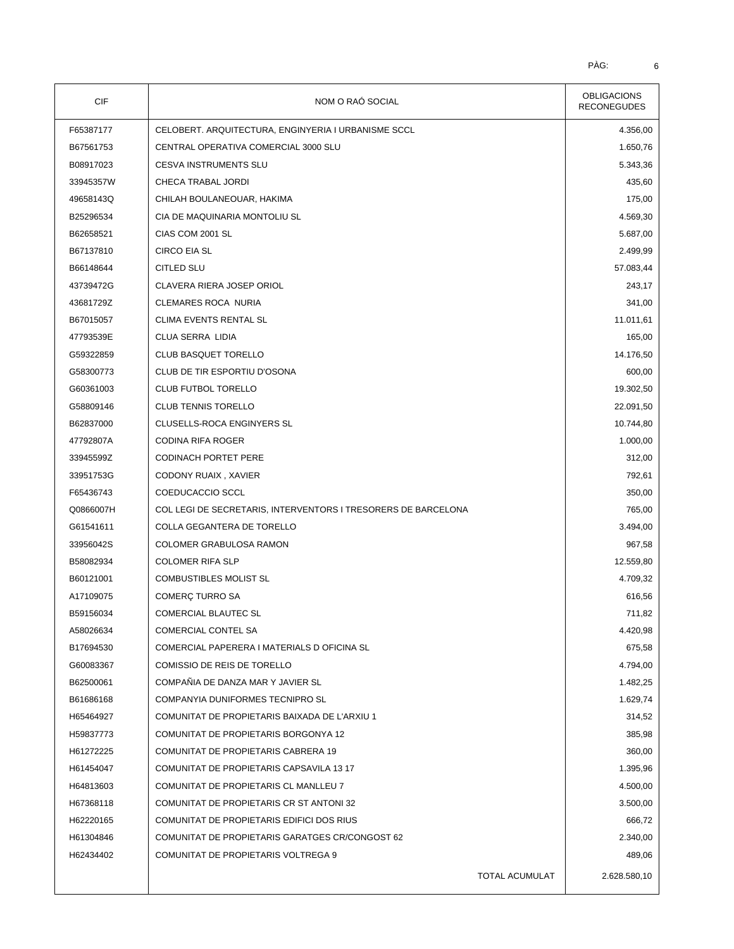| CIF       | NOM O RAÓ SOCIAL                                              | <b>OBLIGACIONS</b><br><b>RECONEGUDES</b> |
|-----------|---------------------------------------------------------------|------------------------------------------|
| F65387177 | CELOBERT. ARQUITECTURA, ENGINYERIA I URBANISME SCCL           | 4.356,00                                 |
| B67561753 | CENTRAL OPERATIVA COMERCIAL 3000 SLU                          | 1.650,76                                 |
| B08917023 | <b>CESVA INSTRUMENTS SLU</b>                                  | 5.343,36                                 |
| 33945357W | CHECA TRABAL JORDI                                            | 435,60                                   |
| 49658143Q | CHILAH BOULANEOUAR, HAKIMA                                    | 175,00                                   |
| B25296534 | CIA DE MAQUINARIA MONTOLIU SL                                 | 4.569,30                                 |
| B62658521 | CIAS COM 2001 SL                                              | 5.687,00                                 |
| B67137810 | <b>CIRCO EIA SL</b>                                           | 2.499,99                                 |
| B66148644 | <b>CITLED SLU</b>                                             | 57.083,44                                |
| 43739472G | CLAVERA RIERA JOSEP ORIOL                                     | 243,17                                   |
| 43681729Z | CLEMARES ROCA NURIA                                           | 341,00                                   |
| B67015057 | CLIMA EVENTS RENTAL SL                                        | 11.011,61                                |
| 47793539E | CLUA SERRA LIDIA                                              | 165,00                                   |
| G59322859 | CLUB BASQUET TORELLO                                          | 14.176,50                                |
| G58300773 | CLUB DE TIR ESPORTIU D'OSONA                                  | 600,00                                   |
| G60361003 | <b>CLUB FUTBOL TORELLO</b>                                    | 19.302,50                                |
| G58809146 | <b>CLUB TENNIS TORELLO</b>                                    | 22.091,50                                |
| B62837000 | CLUSELLS-ROCA ENGINYERS SL                                    | 10.744,80                                |
| 47792807A | CODINA RIFA ROGER                                             | 1.000,00                                 |
| 33945599Z | <b>CODINACH PORTET PERE</b>                                   | 312,00                                   |
| 33951753G | CODONY RUAIX, XAVIER                                          | 792,61                                   |
| F65436743 | COEDUCACCIO SCCL                                              | 350,00                                   |
| Q0866007H | COL LEGI DE SECRETARIS, INTERVENTORS I TRESORERS DE BARCELONA | 765,00                                   |
| G61541611 | COLLA GEGANTERA DE TORELLO                                    | 3.494,00                                 |
| 33956042S | <b>COLOMER GRABULOSA RAMON</b>                                | 967,58                                   |
| B58082934 | <b>COLOMER RIFA SLP</b>                                       | 12.559,80                                |
| B60121001 | <b>COMBUSTIBLES MOLIST SL</b>                                 | 4.709,32                                 |
| A17109075 | COMERÇ TURRO SA                                               | 616,56                                   |
| B59156034 | <b>COMERCIAL BLAUTEC SL</b>                                   | 711,82                                   |
| A58026634 | <b>COMERCIAL CONTEL SA</b>                                    | 4.420,98                                 |
| B17694530 | COMERCIAL PAPERERA I MATERIALS D OFICINA SL                   | 675,58                                   |
| G60083367 | COMISSIO DE REIS DE TORELLO                                   | 4.794,00                                 |
| B62500061 | COMPAÑIA DE DANZA MAR Y JAVIER SL                             | 1.482,25                                 |
| B61686168 | COMPANYIA DUNIFORMES TECNIPRO SL                              | 1.629,74                                 |
| H65464927 | COMUNITAT DE PROPIETARIS BAIXADA DE L'ARXIU 1                 | 314,52                                   |
| H59837773 | COMUNITAT DE PROPIETARIS BORGONYA 12                          | 385,98                                   |
| H61272225 | COMUNITAT DE PROPIETARIS CABRERA 19                           | 360,00                                   |
| H61454047 | COMUNITAT DE PROPIETARIS CAPSAVILA 13 17                      | 1.395,96                                 |
| H64813603 | COMUNITAT DE PROPIETARIS CL MANLLEU 7                         | 4.500,00                                 |
| H67368118 | COMUNITAT DE PROPIETARIS CR ST ANTONI 32                      | 3.500,00                                 |
| H62220165 | COMUNITAT DE PROPIETARIS EDIFICI DOS RIUS                     | 666,72                                   |
| H61304846 | COMUNITAT DE PROPIETARIS GARATGES CR/CONGOST 62               | 2.340,00                                 |
| H62434402 | COMUNITAT DE PROPIETARIS VOLTREGA 9                           | 489,06                                   |
|           | <b>TOTAL ACUMULAT</b>                                         | 2.628.580,10                             |
|           |                                                               |                                          |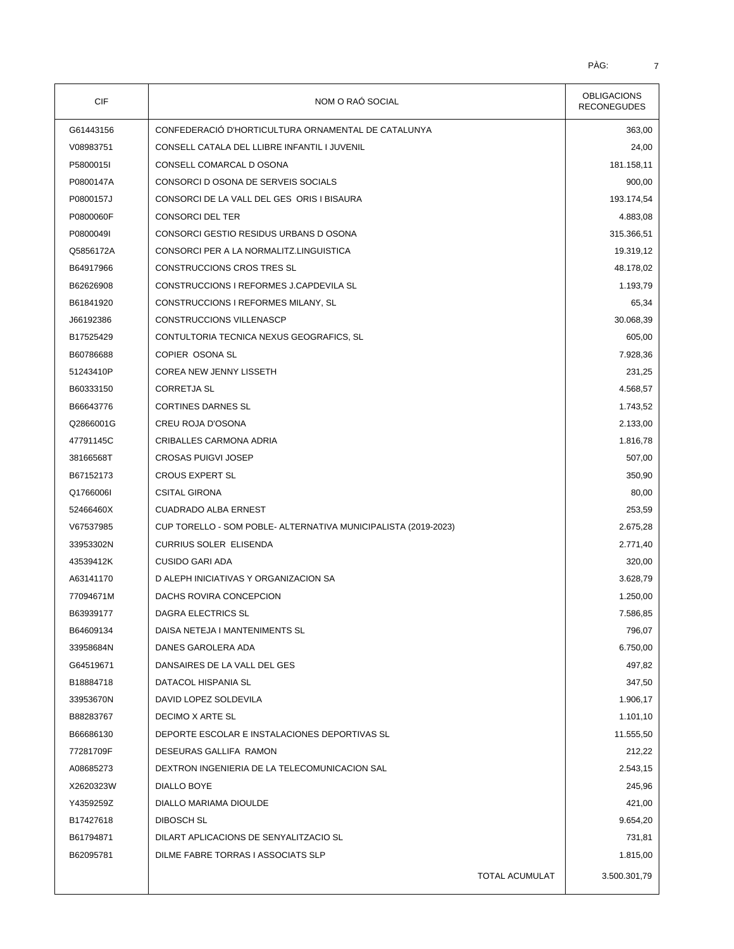| <b>CIF</b> | NOM O RAÓ SOCIAL                                               | <b>OBLIGACIONS</b><br><b>RECONEGUDES</b> |
|------------|----------------------------------------------------------------|------------------------------------------|
| G61443156  | CONFEDERACIÓ D'HORTICULTURA ORNAMENTAL DE CATALUNYA            | 363,00                                   |
| V08983751  | CONSELL CATALA DEL LLIBRE INFANTIL I JUVENIL                   | 24,00                                    |
| P5800015I  | CONSELL COMARCAL D OSONA                                       | 181.158,11                               |
| P0800147A  | CONSORCI D OSONA DE SERVEIS SOCIALS                            | 900,00                                   |
| P0800157J  | CONSORCI DE LA VALL DEL GES ORIS I BISAURA                     | 193.174,54                               |
| P0800060F  | <b>CONSORCI DEL TER</b>                                        | 4.883,08                                 |
| P0800049I  | CONSORCI GESTIO RESIDUS URBANS D OSONA                         | 315.366,51                               |
| Q5856172A  | CONSORCI PER A LA NORMALITZ.LINGUISTICA                        | 19.319,12                                |
| B64917966  | CONSTRUCCIONS CROS TRES SL                                     | 48.178,02                                |
| B62626908  | CONSTRUCCIONS I REFORMES J.CAPDEVILA SL                        | 1.193,79                                 |
| B61841920  | CONSTRUCCIONS I REFORMES MILANY, SL                            | 65,34                                    |
| J66192386  | <b>CONSTRUCCIONS VILLENASCP</b>                                | 30.068,39                                |
| B17525429  | CONTULTORIA TECNICA NEXUS GEOGRAFICS, SL                       | 605,00                                   |
| B60786688  | COPIER OSONA SL                                                | 7.928,36                                 |
| 51243410P  | COREA NEW JENNY LISSETH                                        | 231,25                                   |
| B60333150  | <b>CORRETJA SL</b>                                             | 4.568,57                                 |
| B66643776  | <b>CORTINES DARNES SL</b>                                      | 1.743,52                                 |
| Q2866001G  | CREU ROJA D'OSONA                                              | 2.133,00                                 |
| 47791145C  | CRIBALLES CARMONA ADRIA                                        | 1.816,78                                 |
| 38166568T  | <b>CROSAS PUIGVI JOSEP</b>                                     | 507,00                                   |
| B67152173  | <b>CROUS EXPERT SL</b>                                         | 350,90                                   |
| Q1766006I  | <b>CSITAL GIRONA</b>                                           | 80,00                                    |
| 52466460X  | <b>CUADRADO ALBA ERNEST</b>                                    | 253,59                                   |
| V67537985  | CUP TORELLO - SOM POBLE- ALTERNATIVA MUNICIPALISTA (2019-2023) | 2.675,28                                 |
| 33953302N  | <b>CURRIUS SOLER ELISENDA</b>                                  | 2.771,40                                 |
| 43539412K  | <b>CUSIDO GARI ADA</b>                                         | 320,00                                   |
| A63141170  | D ALEPH INICIATIVAS Y ORGANIZACION SA                          | 3.628,79                                 |
| 77094671M  | DACHS ROVIRA CONCEPCION                                        | 1.250,00                                 |
| B63939177  | <b>DAGRA ELECTRICS SL</b>                                      | 7.586,85                                 |
| B64609134  | DAISA NETEJA I MANTENIMENTS SL                                 | 796,07                                   |
| 33958684N  | DANES GAROLERA ADA                                             | 6.750,00                                 |
| G64519671  | DANSAIRES DE LA VALL DEL GES                                   | 497,82                                   |
| B18884718  | DATACOL HISPANIA SL                                            | 347,50                                   |
| 33953670N  | DAVID LOPEZ SOLDEVILA                                          | 1.906,17                                 |
| B88283767  | DECIMO X ARTE SL                                               | 1.101,10                                 |
| B66686130  | DEPORTE ESCOLAR E INSTALACIONES DEPORTIVAS SL                  | 11.555,50                                |
| 77281709F  | DESEURAS GALLIFA RAMON                                         | 212,22                                   |
| A08685273  | DEXTRON INGENIERIA DE LA TELECOMUNICACION SAL                  | 2.543,15                                 |
| X2620323W  | DIALLO BOYE                                                    | 245,96                                   |
| Y4359259Z  | DIALLO MARIAMA DIOULDE                                         | 421,00                                   |
| B17427618  | DIBOSCH SL                                                     | 9.654,20                                 |
| B61794871  | DILART APLICACIONS DE SENYALITZACIO SL                         | 731,81                                   |
| B62095781  | DILME FABRE TORRAS I ASSOCIATS SLP                             | 1.815,00                                 |
|            |                                                                |                                          |
|            | TOTAL ACUMULAT                                                 | 3.500.301,79                             |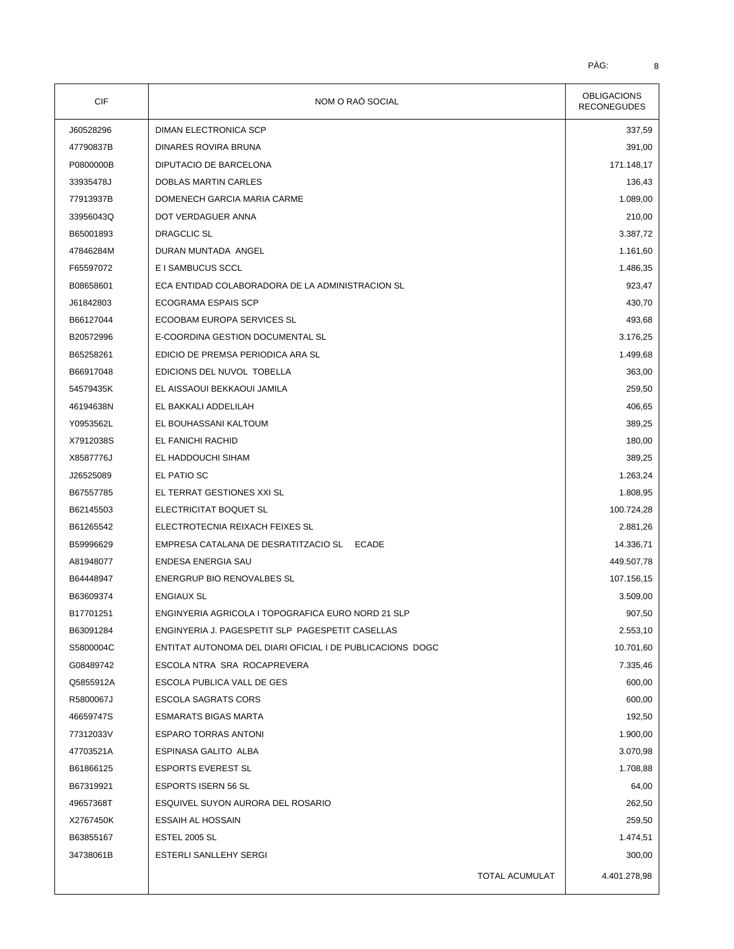| <b>CIF</b> | NOM O RAÓ SOCIAL                                          | <b>OBLIGACIONS</b><br><b>RECONEGUDES</b> |
|------------|-----------------------------------------------------------|------------------------------------------|
| J60528296  | <b>DIMAN ELECTRONICA SCP</b>                              | 337,59                                   |
| 47790837B  | DINARES ROVIRA BRUNA                                      | 391,00                                   |
| P0800000B  | DIPUTACIO DE BARCELONA                                    | 171.148,17                               |
| 33935478J  | <b>DOBLAS MARTIN CARLES</b>                               | 136,43                                   |
| 77913937B  | DOMENECH GARCIA MARIA CARME                               | 1.089,00                                 |
| 33956043Q  | DOT VERDAGUER ANNA                                        | 210,00                                   |
| B65001893  | <b>DRAGCLIC SL</b>                                        | 3.387,72                                 |
| 47846284M  | DURAN MUNTADA ANGEL                                       | 1.161,60                                 |
| F65597072  | E I SAMBUCUS SCCL                                         | 1.486,35                                 |
| B08658601  | ECA ENTIDAD COLABORADORA DE LA ADMINISTRACION SL          | 923,47                                   |
| J61842803  | ECOGRAMA ESPAIS SCP                                       | 430,70                                   |
| B66127044  | ECOOBAM EUROPA SERVICES SL                                | 493,68                                   |
| B20572996  | E-COORDINA GESTION DOCUMENTAL SL                          | 3.176,25                                 |
| B65258261  | EDICIO DE PREMSA PERIODICA ARA SL                         | 1.499,68                                 |
| B66917048  | EDICIONS DEL NUVOL TOBELLA                                | 363,00                                   |
| 54579435K  | EL AISSAOUI BEKKAOUI JAMILA                               | 259,50                                   |
| 46194638N  | EL BAKKALI ADDELILAH                                      | 406,65                                   |
| Y0953562L  | EL BOUHASSANI KALTOUM                                     | 389,25                                   |
| X7912038S  | EL FANICHI RACHID                                         | 180,00                                   |
| X8587776J  | EL HADDOUCHI SIHAM                                        | 389,25                                   |
| J26525089  | EL PATIO SC                                               | 1.263,24                                 |
| B67557785  | EL TERRAT GESTIONES XXI SL                                | 1.808,95                                 |
| B62145503  | ELECTRICITAT BOQUET SL                                    | 100.724,28                               |
| B61265542  | ELECTROTECNIA REIXACH FEIXES SL                           | 2.881,26                                 |
| B59996629  | EMPRESA CATALANA DE DESRATITZACIO SL ECADE                | 14.336,71                                |
| A81948077  | ENDESA ENERGIA SAU                                        | 449.507,78                               |
| B64448947  | <b>ENERGRUP BIO RENOVALBES SL</b>                         | 107.156,15                               |
| B63609374  | <b>ENGIAUX SL</b>                                         | 3.509,00                                 |
| B17701251  | ENGINYERIA AGRICOLA I TOPOGRAFICA EURO NORD 21 SLP        | 907,50                                   |
| B63091284  | ENGINYERIA J. PAGESPETIT SLP PAGESPETIT CASELLAS          | 2.553,10                                 |
| S5800004C  | ENTITAT AUTONOMA DEL DIARI OFICIAL I DE PUBLICACIONS DOGC | 10.701,60                                |
| G08489742  | ESCOLA NTRA SRA ROCAPREVERA                               | 7.335,46                                 |
| Q5855912A  | ESCOLA PUBLICA VALL DE GES                                | 600,00                                   |
| R5800067J  | ESCOLA SAGRATS CORS                                       | 600,00                                   |
| 46659747S  | <b>ESMARATS BIGAS MARTA</b>                               | 192,50                                   |
| 77312033V  | <b>ESPARO TORRAS ANTONI</b>                               | 1.900,00                                 |
| 47703521A  | <b>ESPINASA GALITO ALBA</b>                               | 3.070,98                                 |
| B61866125  | <b>ESPORTS EVEREST SL</b>                                 | 1.708,88                                 |
| B67319921  | <b>ESPORTS ISERN 56 SL</b>                                | 64,00                                    |
| 49657368T  | ESQUIVEL SUYON AURORA DEL ROSARIO                         | 262,50                                   |
| X2767450K  | ESSAIH AL HOSSAIN                                         | 259,50                                   |
| B63855167  | <b>ESTEL 2005 SL</b>                                      | 1.474,51                                 |
| 34738061B  | ESTERLI SANLLEHY SERGI                                    | 300,00                                   |
|            |                                                           |                                          |
|            | TOTAL ACUMULAT                                            | 4.401.278,98                             |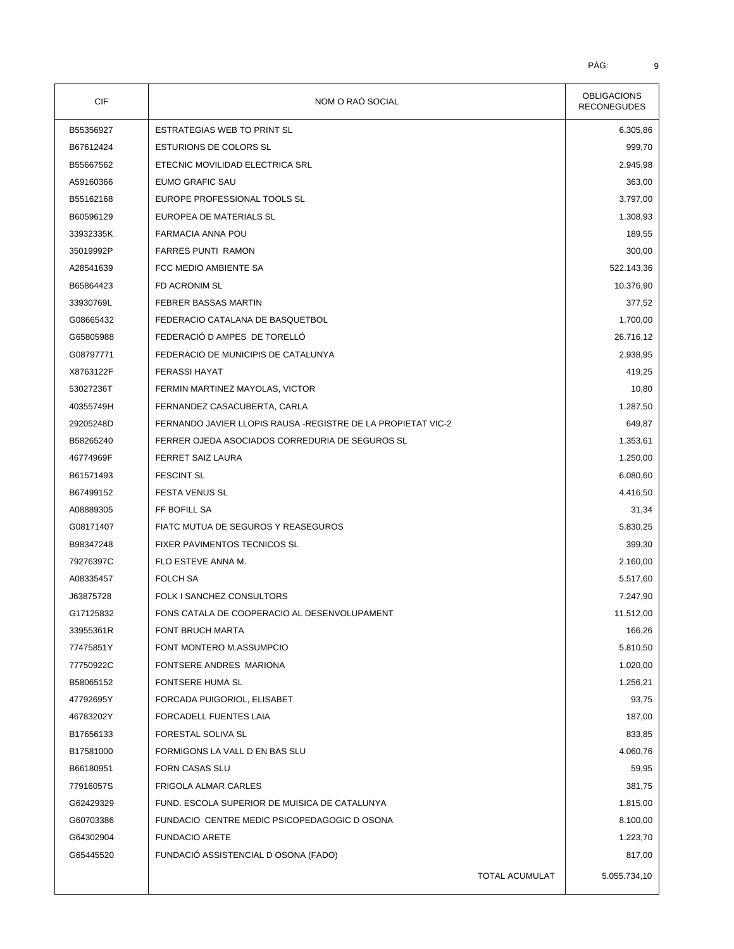| CIF       | NOM O RAÓ SOCIAL                                              | <b>OBLIGACIONS</b><br><b>RECONEGUDES</b> |
|-----------|---------------------------------------------------------------|------------------------------------------|
| B55356927 | ESTRATEGIAS WEB TO PRINT SL                                   | 6.305,86                                 |
| B67612424 | <b>ESTURIONS DE COLORS SL</b>                                 | 999,70                                   |
| B55667562 | ETECNIC MOVILIDAD ELECTRICA SRL                               | 2.945,98                                 |
| A59160366 | EUMO GRAFIC SAU                                               | 363,00                                   |
| B55162168 | EUROPE PROFESSIONAL TOOLS SL                                  | 3.797,00                                 |
| B60596129 | EUROPEA DE MATERIALS SL                                       | 1.308,93                                 |
| 33932335K | <b>FARMACIA ANNA POU</b>                                      | 189,55                                   |
| 35019992P | <b>FARRES PUNTI RAMON</b>                                     | 300,00                                   |
| A28541639 | FCC MEDIO AMBIENTE SA                                         | 522.143,36                               |
| B65864423 | FD ACRONIM SL                                                 | 10.376,90                                |
| 33930769L | FEBRER BASSAS MARTIN                                          | 377,52                                   |
| G08665432 | FEDERACIO CATALANA DE BASQUETBOL                              | 1.700,00                                 |
| G65805988 | FEDERACIÓ D AMPES DE TORELLÓ                                  | 26.716,12                                |
| G08797771 | FEDERACIO DE MUNICIPIS DE CATALUNYA                           | 2.938,95                                 |
| X8763122F | <b>FERASSI HAYAT</b>                                          | 419,25                                   |
| 53027236T | FERMIN MARTINEZ MAYOLAS, VICTOR                               | 10,80                                    |
| 40355749H | FERNANDEZ CASACUBERTA, CARLA                                  | 1.287,50                                 |
| 29205248D | FERNANDO JAVIER LLOPIS RAUSA - REGISTRE DE LA PROPIETAT VIC-2 | 649,87                                   |
| B58265240 | FERRER OJEDA ASOCIADOS CORREDURIA DE SEGUROS SL               | 1.353,61                                 |
| 46774969F | FERRET SAIZ LAURA                                             | 1.250,00                                 |
| B61571493 | <b>FESCINT SL</b>                                             | 6.080,60                                 |
| B67499152 | <b>FESTA VENUS SL</b>                                         | 4.416,50                                 |
| A08889305 | FF BOFILL SA                                                  | 31,34                                    |
| G08171407 | FIATC MUTUA DE SEGUROS Y REASEGUROS                           | 5.830,25                                 |
| B98347248 | FIXER PAVIMENTOS TECNICOS SL                                  | 399,30                                   |
| 79276397C | FLO ESTEVE ANNA M.                                            | 2.160,00                                 |
| A08335457 | <b>FOLCH SA</b>                                               | 5.517,60                                 |
| J63875728 | FOLK I SANCHEZ CONSULTORS                                     | 7.247,90                                 |
| G17125832 | FONS CATALA DE COOPERACIO AL DESENVOLUPAMENT                  | 11.512,00                                |
| 33955361R | FONT BRUCH MARTA                                              | 166,26                                   |
| 77475851Y | FONT MONTERO M.ASSUMPCIO                                      | 5.810,50                                 |
| 77750922C | FONTSERE ANDRES MARIONA                                       | 1.020,00                                 |
| B58065152 | FONTSERE HUMA SL                                              | 1.256,21                                 |
| 47792695Y | FORCADA PUIGORIOL, ELISABET                                   | 93,75                                    |
| 46783202Y | FORCADELL FUENTES LAIA                                        | 187,00                                   |
| B17656133 | FORESTAL SOLIVA SL                                            | 833,85                                   |
| B17581000 | FORMIGONS LA VALL D EN BAS SLU                                | 4.060,76                                 |
| B66180951 | FORN CASAS SLU                                                | 59,95                                    |
| 77916057S | FRIGOLA ALMAR CARLES                                          | 381,75                                   |
| G62429329 | FUND. ESCOLA SUPERIOR DE MUISICA DE CATALUNYA                 | 1.815,00                                 |
| G60703386 | FUNDACIO CENTRE MEDIC PSICOPEDAGOGIC D OSONA                  | 8.100,00                                 |
| G64302904 | <b>FUNDACIO ARETE</b>                                         | 1.223,70                                 |
| G65445520 | FUNDACIÓ ASSISTENCIAL DOSONA (FADO)                           | 817,00                                   |
|           | TOTAL ACUMULAT                                                | 5.055.734,10                             |
|           |                                                               |                                          |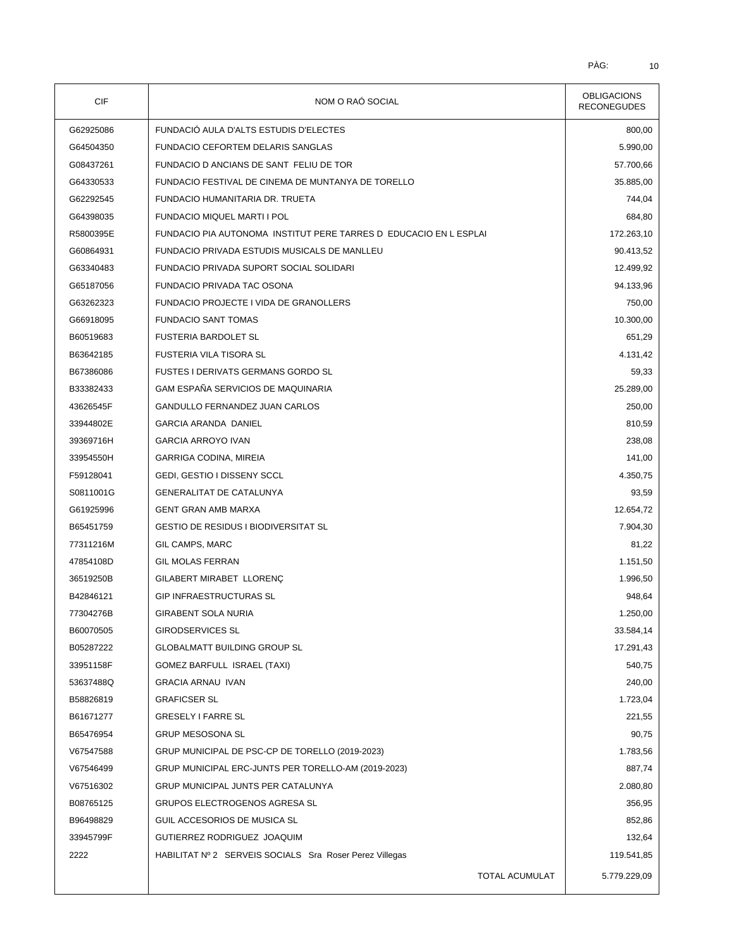| CIF       | NOM O RAÓ SOCIAL                                                                                       | <b>OBLIGACIONS</b><br><b>RECONEGUDES</b> |
|-----------|--------------------------------------------------------------------------------------------------------|------------------------------------------|
| G62925086 | FUNDACIÓ AULA D'ALTS ESTUDIS D'ELECTES                                                                 | 800,00                                   |
| G64504350 | FUNDACIO CEFORTEM DELARIS SANGLAS                                                                      | 5.990,00                                 |
| G08437261 | FUNDACIO D ANCIANS DE SANT FELIU DE TOR                                                                | 57.700,66                                |
| G64330533 | FUNDACIO FESTIVAL DE CINEMA DE MUNTANYA DE TORELLO                                                     | 35.885,00                                |
| G62292545 | FUNDACIO HUMANITARIA DR. TRUETA                                                                        | 744,04                                   |
| G64398035 | <b>FUNDACIO MIQUEL MARTI I POL</b>                                                                     | 684,80                                   |
| R5800395E | FUNDACIO PIA AUTONOMA INSTITUT PERE TARRES D EDUCACIO EN L ESPLAI                                      | 172.263,10                               |
| G60864931 | FUNDACIO PRIVADA ESTUDIS MUSICALS DE MANLLEU                                                           | 90.413,52                                |
| G63340483 | FUNDACIO PRIVADA SUPORT SOCIAL SOLIDARI                                                                | 12.499,92                                |
| G65187056 | FUNDACIO PRIVADA TAC OSONA                                                                             | 94.133,96                                |
| G63262323 | FUNDACIO PROJECTE I VIDA DE GRANOLLERS                                                                 | 750,00                                   |
| G66918095 | <b>FUNDACIO SANT TOMAS</b>                                                                             | 10.300,00                                |
| B60519683 | <b>FUSTERIA BARDOLET SL</b>                                                                            | 651,29                                   |
| B63642185 | <b>FUSTERIA VILA TISORA SL</b>                                                                         | 4.131,42                                 |
| B67386086 | <b>FUSTES I DERIVATS GERMANS GORDO SL</b>                                                              | 59,33                                    |
| B33382433 | GAM ESPAÑA SERVICIOS DE MAQUINARIA                                                                     | 25.289,00                                |
| 43626545F | GANDULLO FERNANDEZ JUAN CARLOS                                                                         | 250,00                                   |
| 33944802E | <b>GARCIA ARANDA DANIEL</b>                                                                            | 810,59                                   |
| 39369716H | <b>GARCIA ARROYO IVAN</b>                                                                              | 238,08                                   |
| 33954550H | GARRIGA CODINA, MIREIA                                                                                 | 141,00                                   |
| F59128041 | GEDI, GESTIO I DISSENY SCCL                                                                            | 4.350,75                                 |
| S0811001G | <b>GENERALITAT DE CATALUNYA</b>                                                                        | 93,59                                    |
| G61925996 | <b>GENT GRAN AMB MARXA</b>                                                                             | 12.654,72                                |
| B65451759 | <b>GESTIO DE RESIDUS I BIODIVERSITAT SL</b>                                                            | 7.904,30                                 |
| 77311216M | GIL CAMPS, MARC                                                                                        | 81,22                                    |
| 47854108D | <b>GIL MOLAS FERRAN</b>                                                                                | 1.151,50                                 |
| 36519250B | GILABERT MIRABET LLORENÇ                                                                               | 1.996,50                                 |
| B42846121 | <b>GIP INFRAESTRUCTURAS SL</b>                                                                         | 948,64                                   |
| 77304276B | <b>GIRABENT SOLA NURIA</b>                                                                             | 1.250,00                                 |
| B60070505 | <b>GIRODSERVICES SL</b>                                                                                | 33.584,14                                |
| B05287222 | <b>GLOBALMATT BUILDING GROUP SL</b>                                                                    | 17.291,43                                |
| 33951158F | GOMEZ BARFULL ISRAEL (TAXI)                                                                            | 540,75                                   |
| 53637488Q | <b>GRACIA ARNAU IVAN</b>                                                                               | 240,00                                   |
| B58826819 | <b>GRAFICSER SL</b>                                                                                    | 1.723,04                                 |
| B61671277 | GRESELY I FARRE SL                                                                                     | 221,55                                   |
|           | <b>GRUP MESOSONA SL</b>                                                                                | 90,75                                    |
| B65476954 |                                                                                                        |                                          |
| V67547588 | GRUP MUNICIPAL DE PSC-CP DE TORELLO (2019-2023)<br>GRUP MUNICIPAL ERC-JUNTS PER TORELLO-AM (2019-2023) | 1.783,56<br>887,74                       |
| V67546499 |                                                                                                        |                                          |
| V67516302 | GRUP MUNICIPAL JUNTS PER CATALUNYA                                                                     | 2.080,80                                 |
| B08765125 | GRUPOS ELECTROGENOS AGRESA SL                                                                          | 356,95                                   |
| B96498829 | GUIL ACCESORIOS DE MUSICA SL                                                                           | 852,86                                   |
| 33945799F | GUTIERREZ RODRIGUEZ JOAQUIM                                                                            | 132,64                                   |
| 2222      | HABILITAT Nº 2 SERVEIS SOCIALS Sra Roser Perez Villegas                                                | 119.541,85                               |
|           | TOTAL ACUMULAT                                                                                         | 5.779.229,09                             |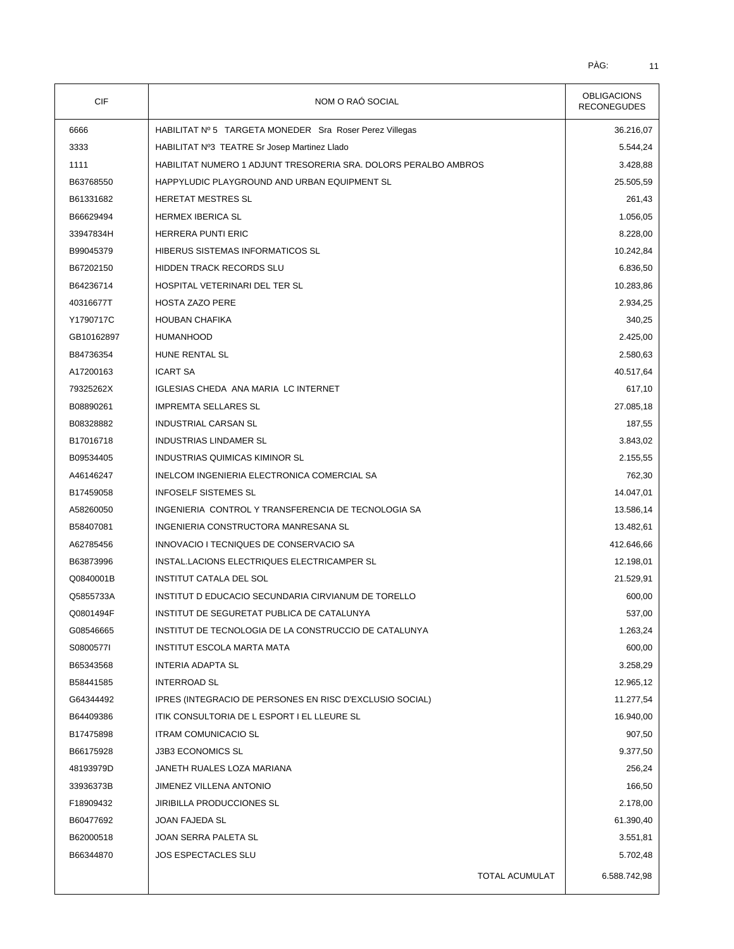| CIF        | NOM O RAÓ SOCIAL                                                | <b>OBLIGACIONS</b><br><b>RECONEGUDES</b> |
|------------|-----------------------------------------------------------------|------------------------------------------|
| 6666       | HABILITAT Nº 5 TARGETA MONEDER Sra Roser Perez Villegas         | 36.216,07                                |
| 3333       | HABILITAT Nº3 TEATRE Sr Josep Martinez Llado                    | 5.544,24                                 |
| 1111       | HABILITAT NUMERO 1 ADJUNT TRESORERIA SRA. DOLORS PERALBO AMBROS | 3.428,88                                 |
| B63768550  | HAPPYLUDIC PLAYGROUND AND URBAN EQUIPMENT SL                    | 25.505,59                                |
| B61331682  | HERETAT MESTRES SL                                              | 261,43                                   |
| B66629494  | <b>HERMEX IBERICA SL</b>                                        | 1.056,05                                 |
| 33947834H  | HERRERA PUNTI ERIC                                              | 8.228,00                                 |
| B99045379  | HIBERUS SISTEMAS INFORMATICOS SL                                | 10.242,84                                |
| B67202150  | HIDDEN TRACK RECORDS SLU                                        | 6.836,50                                 |
| B64236714  | HOSPITAL VETERINARI DEL TER SL                                  | 10.283,86                                |
| 40316677T  | <b>HOSTA ZAZO PERE</b>                                          | 2.934,25                                 |
| Y1790717C  | <b>HOUBAN CHAFIKA</b>                                           | 340,25                                   |
| GB10162897 | <b>HUMANHOOD</b>                                                | 2.425,00                                 |
| B84736354  | HUNE RENTAL SL                                                  | 2.580,63                                 |
| A17200163  | <b>ICART SA</b>                                                 | 40.517,64                                |
| 79325262X  | IGLESIAS CHEDA ANA MARIA LC INTERNET                            | 617,10                                   |
| B08890261  | <b>IMPREMTA SELLARES SL</b>                                     | 27.085,18                                |
| B08328882  | <b>INDUSTRIAL CARSAN SL</b>                                     | 187,55                                   |
| B17016718  | <b>INDUSTRIAS LINDAMER SL</b>                                   | 3.843,02                                 |
| B09534405  | INDUSTRIAS QUIMICAS KIMINOR SL                                  | 2.155,55                                 |
| A46146247  | INELCOM INGENIERIA ELECTRONICA COMERCIAL SA                     | 762,30                                   |
| B17459058  | <b>INFOSELF SISTEMES SL</b>                                     | 14.047,01                                |
| A58260050  | INGENIERIA CONTROL Y TRANSFERENCIA DE TECNOLOGIA SA             | 13.586,14                                |
| B58407081  | INGENIERIA CONSTRUCTORA MANRESANA SL                            | 13.482,61                                |
| A62785456  | INNOVACIO I TECNIQUES DE CONSERVACIO SA                         | 412.646,66                               |
| B63873996  | INSTAL.LACIONS ELECTRIQUES ELECTRICAMPER SL                     | 12.198,01                                |
| Q0840001B  | INSTITUT CATALA DEL SOL                                         | 21.529,91                                |
| Q5855733A  | INSTITUT D EDUCACIO SECUNDARIA CIRVIANUM DE TORELLO             | 600,00                                   |
| Q0801494F  | INSTITUT DE SEGURETAT PUBLICA DE CATALUNYA                      | 537,00                                   |
| G08546665  | INSTITUT DE TECNOLOGIA DE LA CONSTRUCCIO DE CATALUNYA           | 1.263,24                                 |
| S0800577I  | <b>INSTITUT ESCOLA MARTA MATA</b>                               | 600,00                                   |
| B65343568  | INTERIA ADAPTA SL                                               | 3.258,29                                 |
| B58441585  | INTERROAD SL                                                    | 12.965,12                                |
| G64344492  | IPRES (INTEGRACIO DE PERSONES EN RISC D'EXCLUSIO SOCIAL)        | 11.277,54                                |
| B64409386  | ITIK CONSULTORIA DE L ESPORT I EL LLEURE SL                     | 16.940,00                                |
| B17475898  | <b>ITRAM COMUNICACIO SL</b>                                     | 907,50                                   |
| B66175928  | <b>J3B3 ECONOMICS SL</b>                                        | 9.377,50                                 |
| 48193979D  | JANETH RUALES LOZA MARIANA                                      | 256,24                                   |
| 33936373B  | JIMENEZ VILLENA ANTONIO                                         | 166,50                                   |
| F18909432  | <b>JIRIBILLA PRODUCCIONES SL</b>                                | 2.178,00                                 |
| B60477692  | JOAN FAJEDA SL                                                  | 61.390,40                                |
| B62000518  | JOAN SERRA PALETA SL                                            | 3.551,81                                 |
| B66344870  | <b>JOS ESPECTACLES SLU</b>                                      | 5.702,48                                 |
|            | TOTAL ACUMULAT                                                  | 6.588.742,98                             |
|            |                                                                 |                                          |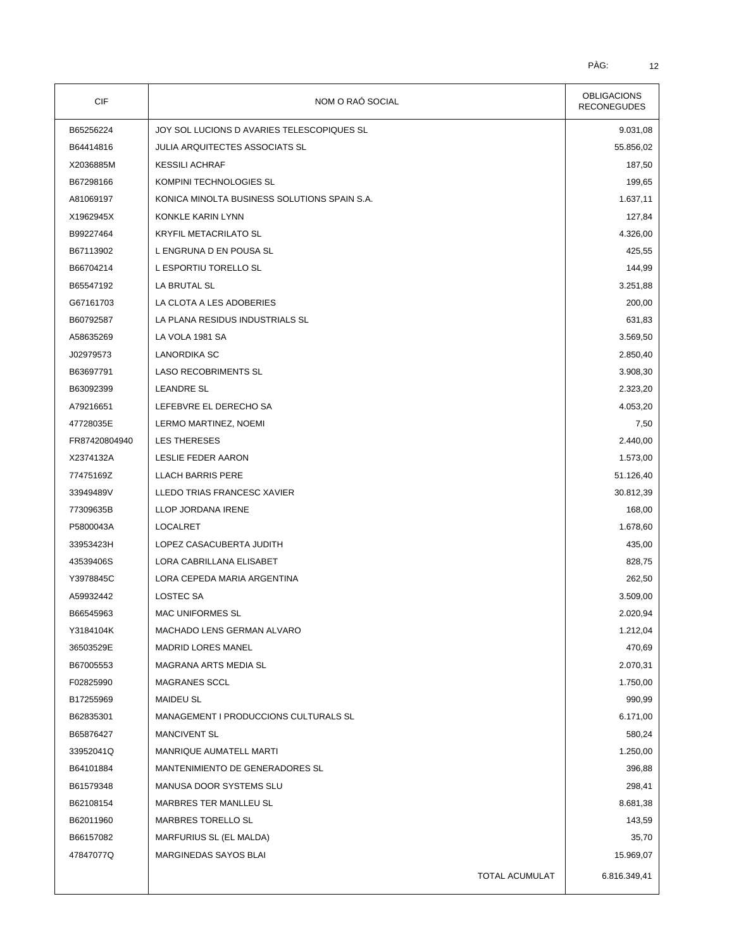| CIF           | NOM O RAÓ SOCIAL                             | <b>OBLIGACIONS</b><br><b>RECONEGUDES</b> |
|---------------|----------------------------------------------|------------------------------------------|
| B65256224     | JOY SOL LUCIONS D AVARIES TELESCOPIQUES SL   | 9.031,08                                 |
| B64414816     | <b>JULIA ARQUITECTES ASSOCIATS SL</b>        | 55.856,02                                |
| X2036885M     | <b>KESSILI ACHRAF</b>                        | 187,50                                   |
| B67298166     | KOMPINI TECHNOLOGIES SL                      | 199,65                                   |
| A81069197     | KONICA MINOLTA BUSINESS SOLUTIONS SPAIN S.A. | 1.637,11                                 |
| X1962945X     | KONKLE KARIN LYNN                            | 127,84                                   |
| B99227464     | <b>KRYFIL METACRILATO SL</b>                 | 4.326,00                                 |
| B67113902     | L ENGRUNA D EN POUSA SL                      | 425,55                                   |
| B66704214     | L ESPORTIU TORELLO SL                        | 144,99                                   |
| B65547192     | LA BRUTAL SL                                 | 3.251,88                                 |
| G67161703     | LA CLOTA A LES ADOBERIES                     | 200,00                                   |
| B60792587     | LA PLANA RESIDUS INDUSTRIALS SL              | 631,83                                   |
| A58635269     | LA VOLA 1981 SA                              | 3.569,50                                 |
| J02979573     | <b>LANORDIKA SC</b>                          | 2.850,40                                 |
| B63697791     | <b>LASO RECOBRIMENTS SL</b>                  | 3.908,30                                 |
| B63092399     | <b>LEANDRE SL</b>                            | 2.323,20                                 |
| A79216651     | LEFEBVRE EL DERECHO SA                       | 4.053,20                                 |
| 47728035E     | LERMO MARTINEZ, NOEMI                        | 7,50                                     |
| FR87420804940 | LES THERESES                                 |                                          |
|               |                                              | 2.440,00                                 |
| X2374132A     | LESLIE FEDER AARON                           | 1.573,00                                 |
| 77475169Z     | <b>LLACH BARRIS PERE</b>                     | 51.126,40                                |
| 33949489V     | LLEDO TRIAS FRANCESC XAVIER                  | 30.812,39                                |
| 77309635B     | LLOP JORDANA IRENE                           | 168,00                                   |
| P5800043A     | LOCALRET                                     | 1.678,60                                 |
| 33953423H     | LOPEZ CASACUBERTA JUDITH                     | 435,00                                   |
| 43539406S     | LORA CABRILLANA ELISABET                     | 828,75                                   |
| Y3978845C     | LORA CEPEDA MARIA ARGENTINA                  | 262,50                                   |
| A59932442     | LOSTEC SA                                    | 3.509,00                                 |
| B66545963     | <b>MAC UNIFORMES SL</b>                      | 2.020,94                                 |
| Y3184104K     | MACHADO LENS GERMAN ALVARO                   | 1.212,04                                 |
| 36503529E     | <b>MADRID LORES MANEL</b>                    | 470,69                                   |
| B67005553     | MAGRANA ARTS MEDIA SL                        | 2.070,31                                 |
| F02825990     | MAGRANES SCCL                                | 1.750,00                                 |
| B17255969     | <b>MAIDEU SL</b>                             | 990,99                                   |
| B62835301     | MANAGEMENT I PRODUCCIONS CULTURALS SL        | 6.171,00                                 |
| B65876427     | <b>MANCIVENT SL</b>                          | 580,24                                   |
| 33952041Q     | MANRIQUE AUMATELL MARTI                      | 1.250,00                                 |
| B64101884     | MANTENIMIENTO DE GENERADORES SL              | 396,88                                   |
| B61579348     | MANUSA DOOR SYSTEMS SLU                      | 298,41                                   |
| B62108154     | MARBRES TER MANLLEU SL                       | 8.681,38                                 |
| B62011960     | MARBRES TORELLO SL                           | 143,59                                   |
| B66157082     | MARFURIUS SL (EL MALDA)                      | 35,70                                    |
| 47847077Q     | MARGINEDAS SAYOS BLAI                        | 15.969,07                                |
|               | TOTAL ACUMULAT                               | 6.816.349,41                             |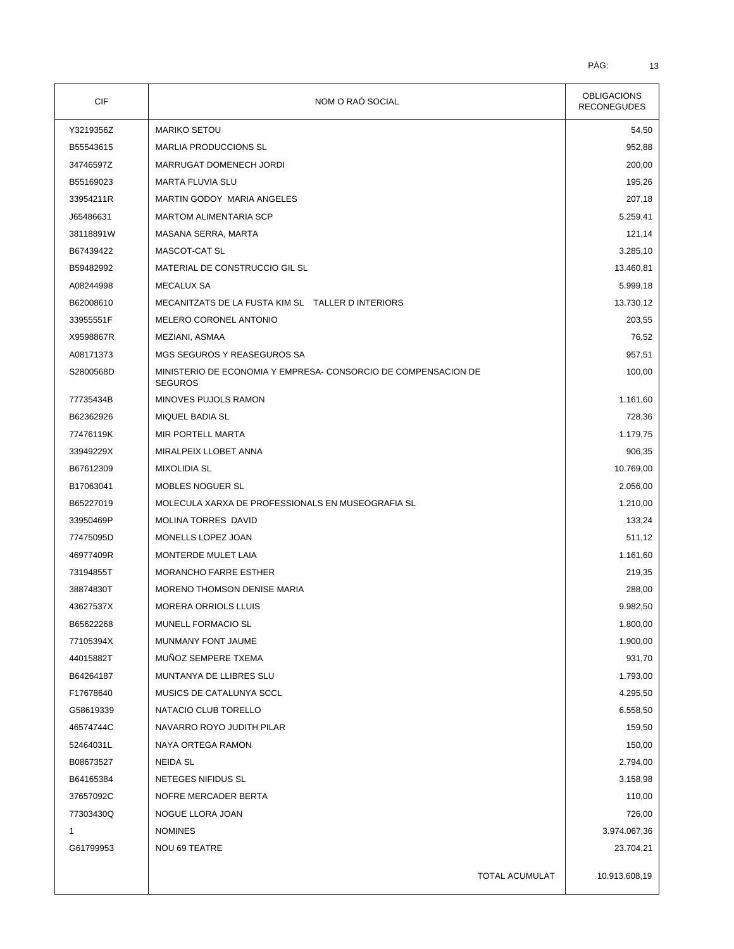| <b>CIF</b> | NOM O RAÓ SOCIAL                                                                 | <b>OBLIGACIONS</b><br><b>RECONEGUDES</b> |  |
|------------|----------------------------------------------------------------------------------|------------------------------------------|--|
| Y3219356Z  | <b>MARIKO SETOU</b>                                                              | 54,50                                    |  |
| B55543615  | <b>MARLIA PRODUCCIONS SL</b>                                                     | 952,88                                   |  |
| 34746597Z  | MARRUGAT DOMENECH JORDI                                                          | 200,00                                   |  |
| B55169023  | MARTA FLUVIA SLU                                                                 | 195,26                                   |  |
| 33954211R  | MARTIN GODOY MARIA ANGELES                                                       | 207,18                                   |  |
| J65486631  | MARTOM ALIMENTARIA SCP                                                           | 5.259,41                                 |  |
| 38118891W  | MASANA SERRA, MARTA                                                              | 121,14                                   |  |
| B67439422  | MASCOT-CAT SL                                                                    | 3.285,10                                 |  |
| B59482992  | MATERIAL DE CONSTRUCCIO GIL SL                                                   | 13.460,81                                |  |
| A08244998  | MECALUX SA                                                                       | 5.999,18                                 |  |
| B62008610  | MECANITZATS DE LA FUSTA KIM SL TALLER DINTERIORS                                 | 13.730,12                                |  |
| 33955551F  | MELERO CORONEL ANTONIO                                                           | 203,55                                   |  |
| X9598867R  | MEZIANI, ASMAA                                                                   | 76,52                                    |  |
| A08171373  | MGS SEGUROS Y REASEGUROS SA                                                      | 957,51                                   |  |
| S2800568D  | MINISTERIO DE ECONOMIA Y EMPRESA- CONSORCIO DE COMPENSACION DE<br><b>SEGUROS</b> | 100,00                                   |  |
| 77735434B  | MINOVES PUJOLS RAMON                                                             | 1.161,60                                 |  |
| B62362926  | <b>MIQUEL BADIA SL</b>                                                           | 728,36                                   |  |
| 77476119K  | MIR PORTELL MARTA                                                                | 1.179,75                                 |  |
| 33949229X  | MIRALPEIX LLOBET ANNA                                                            | 906,35                                   |  |
| B67612309  | MIXOLIDIA SL                                                                     | 10.769,00                                |  |
| B17063041  | MOBLES NOGUER SL                                                                 | 2.056,00                                 |  |
| B65227019  | MOLECULA XARXA DE PROFESSIONALS EN MUSEOGRAFIA SL                                | 1.210,00                                 |  |
| 33950469P  | <b>MOLINA TORRES DAVID</b>                                                       | 133,24                                   |  |
| 77475095D  | MONELLS LOPEZ JOAN                                                               | 511,12                                   |  |
| 46977409R  | MONTERDE MULET LAIA                                                              | 1.161,60                                 |  |
| 73194855T  | MORANCHO FARRE ESTHER                                                            | 219,35                                   |  |
| 38874830T  | <b>MORENO THOMSON DENISE MARIA</b>                                               | 288,00                                   |  |
| 43627537X  | MORERA ORRIOLS LLUIS                                                             | 9.982,50                                 |  |
| B65622268  | MUNELL FORMACIO SL                                                               | 1.800,00                                 |  |
| 77105394X  | MUNMANY FONT JAUME                                                               | 1.900,00                                 |  |
| 44015882T  | MUÑOZ SEMPERE TXEMA                                                              | 931,70                                   |  |
| B64264187  | MUNTANYA DE LLIBRES SLU                                                          | 1.793,00                                 |  |
| F17678640  | MUSICS DE CATALUNYA SCCL                                                         | 4.295,50                                 |  |
| G58619339  | NATACIO CLUB TORELLO                                                             | 6.558,50                                 |  |
| 46574744C  | NAVARRO ROYO JUDITH PILAR                                                        | 159,50                                   |  |
| 52464031L  | NAYA ORTEGA RAMON                                                                | 150,00                                   |  |
| B08673527  | NEIDA SL                                                                         | 2.794,00                                 |  |
| B64165384  | NETEGES NIFIDUS SL                                                               | 3.158,98                                 |  |
| 37657092C  | NOFRE MERCADER BERTA                                                             | 110,00                                   |  |
| 77303430Q  | NOGUE LLORA JOAN                                                                 | 726,00                                   |  |
| 1          | <b>NOMINES</b>                                                                   | 3.974.067,36                             |  |
| G61799953  | <b>NOU 69 TEATRE</b>                                                             | 23.704,21                                |  |
|            | TOTAL ACUMULAT                                                                   | 10.913.608,19                            |  |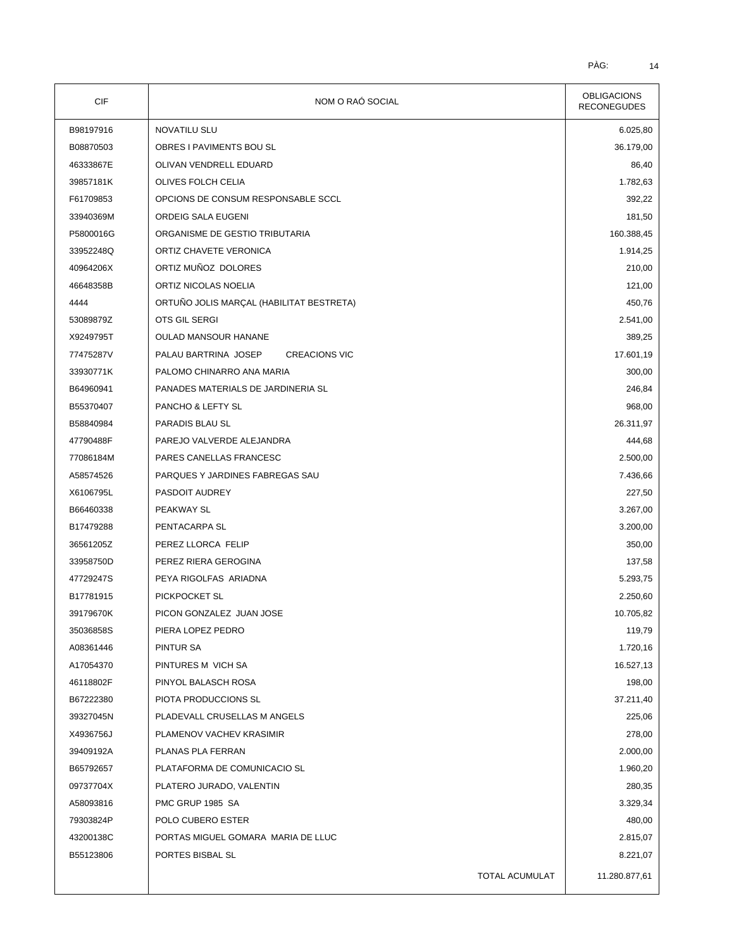| <b>CIF</b> | NOM O RAÓ SOCIAL                             | <b>OBLIGACIONS</b><br><b>RECONEGUDES</b> |  |
|------------|----------------------------------------------|------------------------------------------|--|
| B98197916  | <b>NOVATILU SLU</b>                          | 6.025,80                                 |  |
| B08870503  | OBRES I PAVIMENTS BOU SL                     | 36.179,00                                |  |
| 46333867E  | OLIVAN VENDRELL EDUARD                       | 86,40                                    |  |
| 39857181K  | OLIVES FOLCH CELIA                           | 1.782,63                                 |  |
| F61709853  | OPCIONS DE CONSUM RESPONSABLE SCCL           | 392,22                                   |  |
| 33940369M  | ORDEIG SALA EUGENI                           | 181,50                                   |  |
| P5800016G  | ORGANISME DE GESTIO TRIBUTARIA               | 160.388,45                               |  |
| 33952248Q  | ORTIZ CHAVETE VERONICA                       | 1.914,25                                 |  |
| 40964206X  | ORTIZ MUÑOZ DOLORES                          | 210,00                                   |  |
| 46648358B  | ORTIZ NICOLAS NOELIA                         | 121,00                                   |  |
| 4444       | ORTUÑO JOLIS MARÇAL (HABILITAT BESTRETA)     | 450,76                                   |  |
| 53089879Z  | OTS GIL SERGI                                | 2.541,00                                 |  |
| X9249795T  | <b>OULAD MANSOUR HANANE</b>                  | 389,25                                   |  |
| 77475287V  | PALAU BARTRINA JOSEP<br><b>CREACIONS VIC</b> | 17.601,19                                |  |
| 33930771K  | PALOMO CHINARRO ANA MARIA                    | 300,00                                   |  |
| B64960941  | PANADES MATERIALS DE JARDINERIA SL           | 246,84                                   |  |
| B55370407  | PANCHO & LEFTY SL                            | 968,00                                   |  |
| B58840984  | PARADIS BLAU SL                              | 26.311,97                                |  |
| 47790488F  | PAREJO VALVERDE ALEJANDRA                    | 444,68                                   |  |
| 77086184M  | PARES CANELLAS FRANCESC                      | 2.500,00                                 |  |
| A58574526  | PARQUES Y JARDINES FABREGAS SAU              | 7.436,66                                 |  |
| X6106795L  | PASDOIT AUDREY                               | 227,50                                   |  |
| B66460338  | PEAKWAY SL                                   | 3.267,00                                 |  |
| B17479288  | PENTACARPA SL                                | 3.200,00                                 |  |
| 36561205Z  | PEREZ LLORCA FELIP                           | 350,00                                   |  |
| 33958750D  | PEREZ RIERA GEROGINA                         | 137,58                                   |  |
| 47729247S  | PEYA RIGOLFAS ARIADNA                        | 5.293,75                                 |  |
| B17781915  | PICKPOCKET SL                                | 2.250,60                                 |  |
| 39179670K  | PICON GONZALEZ JUAN JOSE                     | 10.705,82                                |  |
| 35036858S  | PIERA LOPEZ PEDRO                            | 119,79                                   |  |
| A08361446  | <b>PINTUR SA</b>                             | 1.720,16                                 |  |
| A17054370  | PINTURES M VICH SA                           | 16.527,13                                |  |
| 46118802F  | PINYOL BALASCH ROSA                          | 198,00                                   |  |
| B67222380  | PIOTA PRODUCCIONS SL                         | 37.211,40                                |  |
| 39327045N  | PLADEVALL CRUSELLAS M ANGELS                 | 225,06                                   |  |
| X4936756J  | PLAMENOV VACHEV KRASIMIR                     | 278,00                                   |  |
| 39409192A  | PLANAS PLA FERRAN                            | 2.000,00                                 |  |
| B65792657  | PLATAFORMA DE COMUNICACIO SL                 | 1.960,20                                 |  |
| 09737704X  | PLATERO JURADO, VALENTIN                     | 280,35                                   |  |
| A58093816  | PMC GRUP 1985 SA                             | 3.329,34                                 |  |
| 79303824P  | POLO CUBERO ESTER                            | 480,00                                   |  |
| 43200138C  | PORTAS MIGUEL GOMARA MARIA DE LLUC           | 2.815,07                                 |  |
| B55123806  | PORTES BISBAL SL                             | 8.221,07                                 |  |
|            | TOTAL ACUMULAT                               | 11.280.877,61                            |  |
|            |                                              |                                          |  |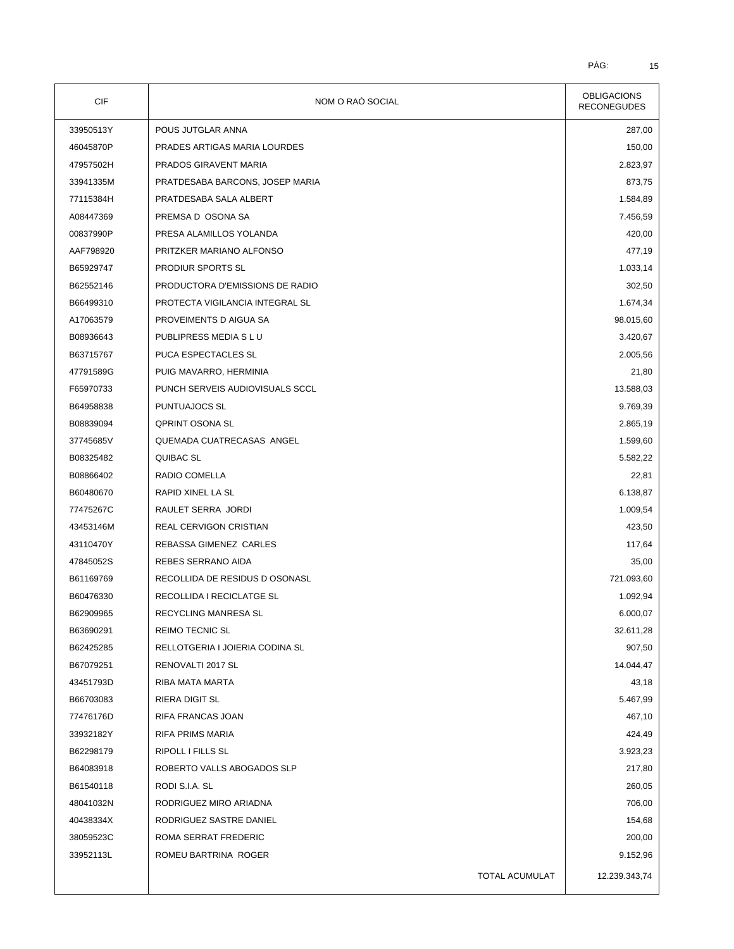| CIF       | NOM O RAÓ SOCIAL                | <b>OBLIGACIONS</b><br><b>RECONEGUDES</b> |
|-----------|---------------------------------|------------------------------------------|
| 33950513Y | POUS JUTGLAR ANNA               | 287,00                                   |
| 46045870P | PRADES ARTIGAS MARIA LOURDES    | 150,00                                   |
| 47957502H | PRADOS GIRAVENT MARIA           | 2.823,97                                 |
| 33941335M | PRATDESABA BARCONS, JOSEP MARIA | 873,75                                   |
| 77115384H | PRATDESABA SALA ALBERT          | 1.584,89                                 |
| A08447369 | PREMSA D OSONA SA               | 7.456,59                                 |
| 00837990P | PRESA ALAMILLOS YOLANDA         | 420,00                                   |
| AAF798920 | PRITZKER MARIANO ALFONSO        | 477,19                                   |
| B65929747 | PRODIUR SPORTS SL               | 1.033,14                                 |
| B62552146 | PRODUCTORA D'EMISSIONS DE RADIO | 302,50                                   |
| B66499310 | PROTECTA VIGILANCIA INTEGRAL SL | 1.674,34                                 |
| A17063579 | PROVEIMENTS D AIGUA SA          | 98.015,60                                |
| B08936643 | PUBLIPRESS MEDIA S L U          | 3.420,67                                 |
| B63715767 | PUCA ESPECTACLES SL             | 2.005,56                                 |
| 47791589G | PUIG MAVARRO, HERMINIA          | 21,80                                    |
| F65970733 | PUNCH SERVEIS AUDIOVISUALS SCCL | 13.588,03                                |
| B64958838 | PUNTUAJOCS SL                   | 9.769,39                                 |
| B08839094 | <b>QPRINT OSONA SL</b>          | 2.865,19                                 |
| 37745685V | QUEMADA CUATRECASAS ANGEL       | 1.599,60                                 |
| B08325482 | QUIBAC SL                       | 5.582,22                                 |
| B08866402 | RADIO COMELLA                   | 22,81                                    |
| B60480670 | RAPID XINEL LA SL               | 6.138,87                                 |
| 77475267C | RAULET SERRA JORDI              | 1.009,54                                 |
| 43453146M | REAL CERVIGON CRISTIAN          | 423,50                                   |
| 43110470Y | REBASSA GIMENEZ CARLES          | 117,64                                   |
| 47845052S | REBES SERRANO AIDA              | 35,00                                    |
| B61169769 | RECOLLIDA DE RESIDUS D OSONASL  | 721.093,60                               |
| B60476330 | RECOLLIDA I RECICLATGE SL       | 1.092,94                                 |
| B62909965 | RECYCLING MANRESA SL            | 6.000,07                                 |
| B63690291 | <b>REIMO TECNIC SL</b>          | 32.611,28                                |
| B62425285 | RELLOTGERIA I JOIERIA CODINA SL | 907,50                                   |
| B67079251 | RENOVALTI 2017 SL               | 14.044,47                                |
| 43451793D | RIBA MATA MARTA                 | 43,18                                    |
| B66703083 | <b>RIERA DIGIT SL</b>           | 5.467,99                                 |
| 77476176D | RIFA FRANCAS JOAN               | 467,10                                   |
| 33932182Y | <b>RIFA PRIMS MARIA</b>         | 424,49                                   |
| B62298179 | <b>RIPOLL I FILLS SL</b>        | 3.923,23                                 |
| B64083918 | ROBERTO VALLS ABOGADOS SLP      | 217,80                                   |
| B61540118 | RODI S.I.A. SL                  | 260,05                                   |
| 48041032N | RODRIGUEZ MIRO ARIADNA          | 706,00                                   |
| 40438334X | RODRIGUEZ SASTRE DANIEL         | 154,68                                   |
| 38059523C | ROMA SERRAT FREDERIC            | 200,00                                   |
| 33952113L | ROMEU BARTRINA ROGER            | 9.152,96                                 |
|           |                                 |                                          |
|           | TOTAL ACUMULAT                  | 12.239.343,74                            |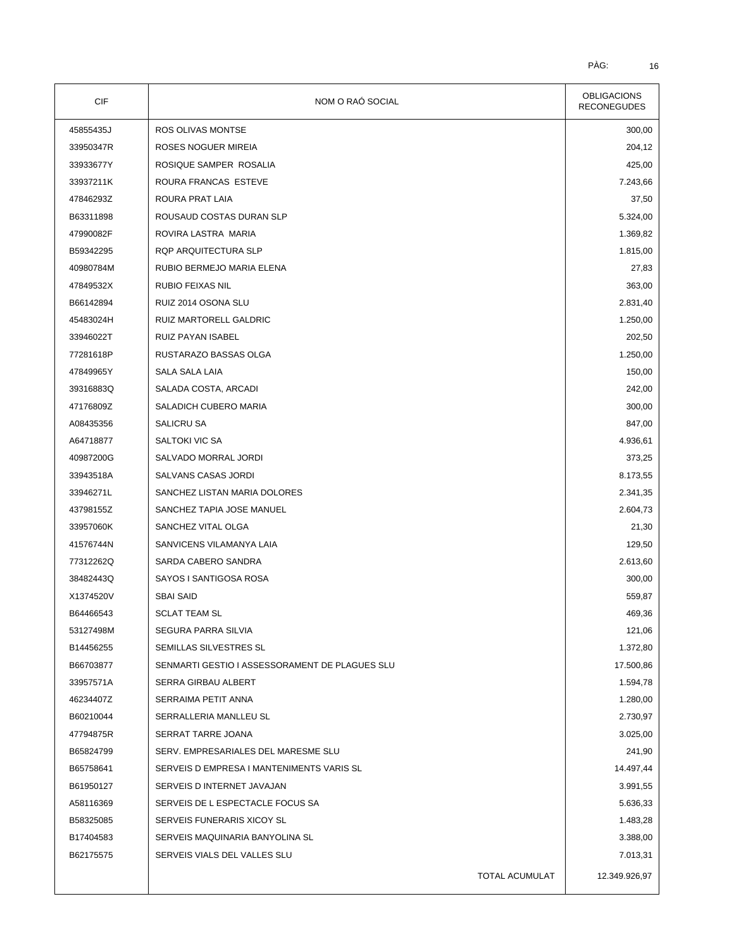| <b>CIF</b> | NOM O RAÓ SOCIAL                               | <b>OBLIGACIONS</b><br><b>RECONEGUDES</b> |
|------------|------------------------------------------------|------------------------------------------|
| 45855435J  | ROS OLIVAS MONTSE                              | 300,00                                   |
| 33950347R  | ROSES NOGUER MIREIA                            | 204,12                                   |
| 33933677Y  | ROSIQUE SAMPER ROSALIA                         | 425,00                                   |
| 33937211K  | ROURA FRANCAS ESTEVE                           | 7.243,66                                 |
| 47846293Z  | ROURA PRAT LAIA                                | 37,50                                    |
| B63311898  | ROUSAUD COSTAS DURAN SLP                       | 5.324,00                                 |
| 47990082F  | ROVIRA LASTRA MARIA                            | 1.369,82                                 |
| B59342295  | RQP ARQUITECTURA SLP                           | 1.815,00                                 |
| 40980784M  | RUBIO BERMEJO MARIA ELENA                      | 27,83                                    |
| 47849532X  | RUBIO FEIXAS NIL                               | 363,00                                   |
| B66142894  | RUIZ 2014 OSONA SLU                            | 2.831,40                                 |
| 45483024H  | RUIZ MARTORELL GALDRIC                         | 1.250,00                                 |
| 33946022T  | RUIZ PAYAN ISABEL                              | 202,50                                   |
| 77281618P  | RUSTARAZO BASSAS OLGA                          | 1.250,00                                 |
| 47849965Y  | SALA SALA LAIA                                 | 150,00                                   |
| 39316883Q  | SALADA COSTA, ARCADI                           | 242,00                                   |
| 47176809Z  | SALADICH CUBERO MARIA                          | 300,00                                   |
| A08435356  | SALICRU SA                                     | 847,00                                   |
| A64718877  | SALTOKI VIC SA                                 | 4.936,61                                 |
| 40987200G  | SALVADO MORRAL JORDI                           | 373,25                                   |
| 33943518A  | SALVANS CASAS JORDI                            | 8.173,55                                 |
| 33946271L  | SANCHEZ LISTAN MARIA DOLORES                   | 2.341,35                                 |
| 43798155Z  | SANCHEZ TAPIA JOSE MANUEL                      | 2.604,73                                 |
| 33957060K  | SANCHEZ VITAL OLGA                             | 21,30                                    |
| 41576744N  | SANVICENS VILAMANYA LAIA                       | 129,50                                   |
| 77312262Q  | SARDA CABERO SANDRA                            | 2.613,60                                 |
| 38482443Q  | SAYOS I SANTIGOSA ROSA                         | 300,00                                   |
| X1374520V  | <b>SBAI SAID</b>                               | 559,87                                   |
| B64466543  | <b>SCLAT TEAM SL</b>                           | 469,36                                   |
| 53127498M  | SEGURA PARRA SILVIA                            | 121,06                                   |
| B14456255  | SEMILLAS SILVESTRES SL                         | 1.372,80                                 |
| B66703877  | SENMARTI GESTIO I ASSESSORAMENT DE PLAGUES SLU | 17.500,86                                |
| 33957571A  | SERRA GIRBAU ALBERT                            | 1.594,78                                 |
| 46234407Z  | SERRAIMA PETIT ANNA                            | 1.280,00                                 |
| B60210044  | SERRALLERIA MANLLEU SL                         | 2.730,97                                 |
| 47794875R  | SERRAT TARRE JOANA                             | 3.025,00                                 |
| B65824799  | SERV. EMPRESARIALES DEL MARESME SLU            | 241,90                                   |
| B65758641  | SERVEIS D EMPRESA I MANTENIMENTS VARIS SL      | 14.497,44                                |
| B61950127  | SERVEIS D INTERNET JAVAJAN                     | 3.991,55                                 |
| A58116369  | SERVEIS DE L ESPECTACLE FOCUS SA               | 5.636,33                                 |
| B58325085  | SERVEIS FUNERARIS XICOY SL                     | 1.483,28                                 |
| B17404583  | SERVEIS MAQUINARIA BANYOLINA SL                | 3.388,00                                 |
| B62175575  | SERVEIS VIALS DEL VALLES SLU                   | 7.013,31                                 |
|            |                                                |                                          |
|            | TOTAL ACUMULAT                                 | 12.349.926,97                            |
|            |                                                |                                          |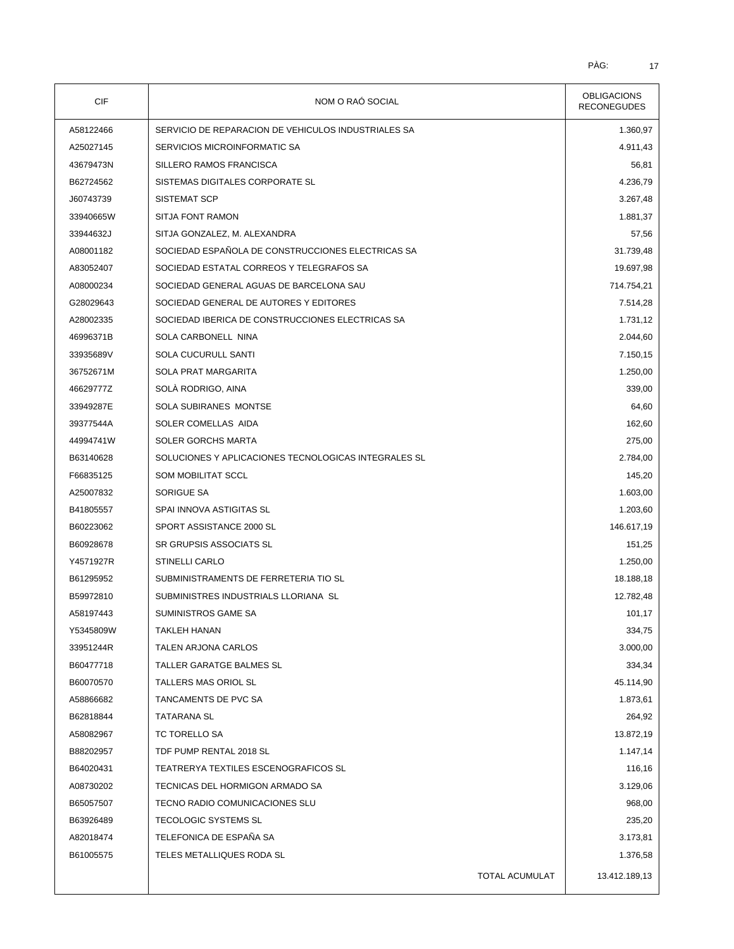| CIF       | NOM O RAÓ SOCIAL                                     | <b>OBLIGACIONS</b><br><b>RECONEGUDES</b> |
|-----------|------------------------------------------------------|------------------------------------------|
| A58122466 | SERVICIO DE REPARACION DE VEHICULOS INDUSTRIALES SA  | 1.360,97                                 |
| A25027145 | SERVICIOS MICROINFORMATIC SA                         | 4.911,43                                 |
| 43679473N | SILLERO RAMOS FRANCISCA                              | 56,81                                    |
| B62724562 | SISTEMAS DIGITALES CORPORATE SL                      | 4.236,79                                 |
| J60743739 | SISTEMAT SCP                                         | 3.267,48                                 |
| 33940665W | <b>SITJA FONT RAMON</b>                              | 1.881,37                                 |
| 33944632J | SITJA GONZALEZ, M. ALEXANDRA                         | 57,56                                    |
| A08001182 | SOCIEDAD ESPAÑOLA DE CONSTRUCCIONES ELECTRICAS SA    | 31.739,48                                |
| A83052407 | SOCIEDAD ESTATAL CORREOS Y TELEGRAFOS SA             | 19.697,98                                |
| A08000234 | SOCIEDAD GENERAL AGUAS DE BARCELONA SAU              | 714.754,21                               |
| G28029643 | SOCIEDAD GENERAL DE AUTORES Y EDITORES               | 7.514,28                                 |
| A28002335 | SOCIEDAD IBERICA DE CONSTRUCCIONES ELECTRICAS SA     | 1.731,12                                 |
| 46996371B | SOLA CARBONELL NINA                                  | 2.044,60                                 |
| 33935689V | SOLA CUCURULL SANTI                                  | 7.150,15                                 |
| 36752671M | <b>SOLA PRAT MARGARITA</b>                           | 1.250,00                                 |
| 46629777Z | SOLÁ RODRIGO, AINA                                   | 339,00                                   |
| 33949287E | SOLA SUBIRANES MONTSE                                | 64,60                                    |
| 39377544A | SOLER COMELLAS AIDA                                  | 162,60                                   |
| 44994741W | <b>SOLER GORCHS MARTA</b>                            | 275,00                                   |
| B63140628 | SOLUCIONES Y APLICACIONES TECNOLOGICAS INTEGRALES SL | 2.784,00                                 |
| F66835125 | <b>SOM MOBILITAT SCCL</b>                            | 145,20                                   |
| A25007832 | SORIGUE SA                                           | 1.603,00                                 |
| B41805557 | SPAI INNOVA ASTIGITAS SL                             | 1.203,60                                 |
| B60223062 | SPORT ASSISTANCE 2000 SL                             | 146.617,19                               |
| B60928678 | SR GRUPSIS ASSOCIATS SL                              | 151,25                                   |
| Y4571927R | <b>STINELLI CARLO</b>                                | 1.250,00                                 |
| B61295952 | SUBMINISTRAMENTS DE FERRETERIA TIO SL                | 18.188,18                                |
| B59972810 | SUBMINISTRES INDUSTRIALS LLORIANA SL                 | 12.782,48                                |
| A58197443 | SUMINISTROS GAME SA                                  | 101,17                                   |
| Y5345809W | <b>TAKLEH HANAN</b>                                  | 334,75                                   |
| 33951244R | TALEN ARJONA CARLOS                                  | 3.000,00                                 |
| B60477718 | TALLER GARATGE BALMES SL                             | 334,34                                   |
| B60070570 | TALLERS MAS ORIOL SL                                 | 45.114,90                                |
| A58866682 | TANCAMENTS DE PVC SA                                 | 1.873,61                                 |
| B62818844 | TATARANA SL                                          | 264,92                                   |
| A58082967 | TC TORELLO SA                                        | 13.872,19                                |
| B88202957 | TDF PUMP RENTAL 2018 SL                              | 1.147,14                                 |
| B64020431 | TEATRERYA TEXTILES ESCENOGRAFICOS SL                 | 116,16                                   |
| A08730202 | TECNICAS DEL HORMIGON ARMADO SA                      | 3.129,06                                 |
| B65057507 | TECNO RADIO COMUNICACIONES SLU                       | 968,00                                   |
| B63926489 | TECOLOGIC SYSTEMS SL                                 | 235,20                                   |
| A82018474 | TELEFONICA DE ESPAÑA SA                              | 3.173,81                                 |
| B61005575 | TELES METALLIQUES RODA SL                            | 1.376,58                                 |
|           | <b>TOTAL ACUMULAT</b>                                | 13.412.189,13                            |
|           |                                                      |                                          |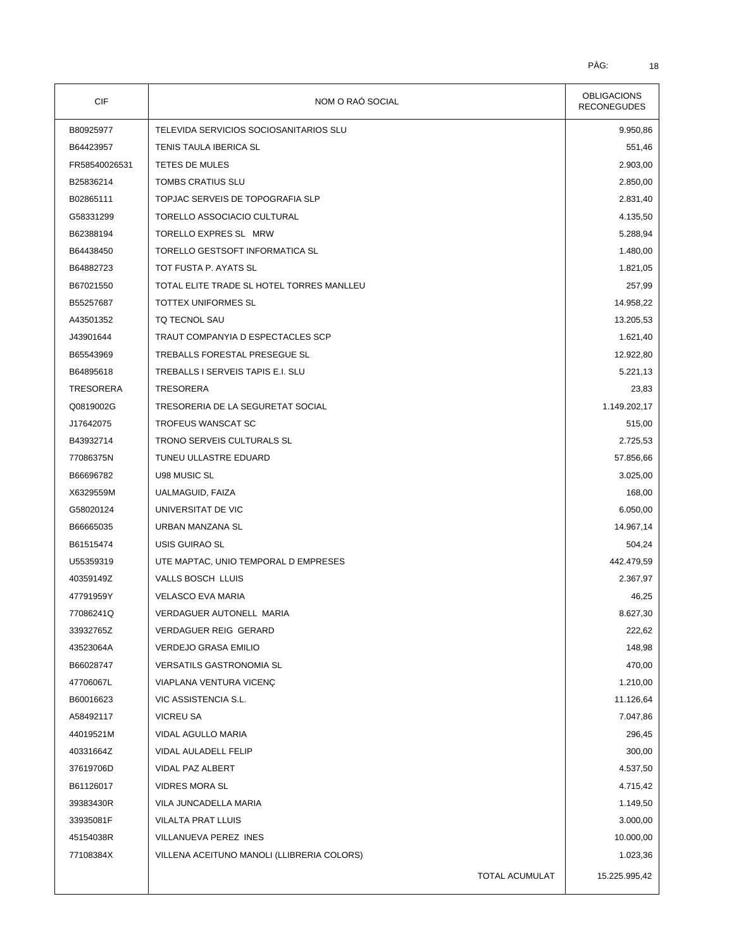| CIF              | NOM O RAÓ SOCIAL                           | <b>OBLIGACIONS</b><br><b>RECONEGUDES</b> |
|------------------|--------------------------------------------|------------------------------------------|
| B80925977        | TELEVIDA SERVICIOS SOCIOSANITARIOS SLU     | 9.950,86                                 |
| B64423957        | TENIS TAULA IBERICA SL                     | 551,46                                   |
| FR58540026531    | TETES DE MULES                             | 2.903,00                                 |
| B25836214        | TOMBS CRATIUS SLU                          | 2.850,00                                 |
| B02865111        | TOPJAC SERVEIS DE TOPOGRAFIA SLP           | 2.831,40                                 |
| G58331299        | TORELLO ASSOCIACIO CULTURAL                | 4.135,50                                 |
| B62388194        | TORELLO EXPRES SL MRW                      | 5.288,94                                 |
| B64438450        | TORELLO GESTSOFT INFORMATICA SL            | 1.480,00                                 |
| B64882723        | TOT FUSTA P. AYATS SL                      | 1.821,05                                 |
| B67021550        | TOTAL ELITE TRADE SL HOTEL TORRES MANLLEU  | 257,99                                   |
| B55257687        | TOTTEX UNIFORMES SL                        | 14.958,22                                |
| A43501352        | TQ TECNOL SAU                              | 13.205,53                                |
| J43901644        | TRAUT COMPANYIA D ESPECTACLES SCP          | 1.621,40                                 |
| B65543969        | TREBALLS FORESTAL PRESEGUE SL              | 12.922,80                                |
| B64895618        | TREBALLS I SERVEIS TAPIS E.I. SLU          | 5.221,13                                 |
| <b>TRESORERA</b> | <b>TRESORERA</b>                           | 23,83                                    |
| Q0819002G        | TRESORERIA DE LA SEGURETAT SOCIAL          | 1.149.202,17                             |
| J17642075        | <b>TROFEUS WANSCAT SC</b>                  | 515,00                                   |
| B43932714        | TRONO SERVEIS CULTURALS SL                 | 2.725,53                                 |
| 77086375N        | TUNEU ULLASTRE EDUARD                      | 57.856,66                                |
| B66696782        | U98 MUSIC SL                               | 3.025,00                                 |
| X6329559M        | UALMAGUID, FAIZA                           | 168,00                                   |
| G58020124        | UNIVERSITAT DE VIC                         | 6.050,00                                 |
| B66665035        | URBAN MANZANA SL                           | 14.967,14                                |
| B61515474        | USIS GUIRAO SL                             | 504,24                                   |
| U55359319        | UTE MAPTAC, UNIO TEMPORAL D EMPRESES       | 442.479,59                               |
| 40359149Z        | VALLS BOSCH LLUIS                          | 2.367,97                                 |
| 47791959Y        | VELASCO EVA MARIA                          | 46,25                                    |
| 77086241Q        | VERDAGUER AUTONELL MARIA                   | 8.627,30                                 |
| 33932765Z        | VERDAGUER REIG GERARD                      | 222,62                                   |
| 43523064A        | VERDEJO GRASA EMILIO                       | 148,98                                   |
| B66028747        | VERSATILS GASTRONOMIA SL                   | 470,00                                   |
| 47706067L        | VIAPLANA VENTURA VICENÇ                    | 1.210,00                                 |
| B60016623        | VIC ASSISTENCIA S.L.                       | 11.126,64                                |
| A58492117        | <b>VICREU SA</b>                           | 7.047,86                                 |
| 44019521M        | VIDAL AGULLO MARIA                         | 296,45                                   |
| 40331664Z        | VIDAL AULADELL FELIP                       | 300,00                                   |
| 37619706D        | VIDAL PAZ ALBERT                           | 4.537,50                                 |
| B61126017        | <b>VIDRES MORA SL</b>                      | 4.715,42                                 |
| 39383430R        | VILA JUNCADELLA MARIA                      | 1.149,50                                 |
|                  | VILALTA PRAT LLUIS                         | 3.000,00                                 |
| 33935081F        |                                            |                                          |
| 45154038R        | VILLANUEVA PEREZ INES                      | 10.000,00                                |
| 77108384X        | VILLENA ACEITUNO MANOLI (LLIBRERIA COLORS) | 1.023,36                                 |
|                  | TOTAL ACUMULAT                             | 15.225.995,42                            |